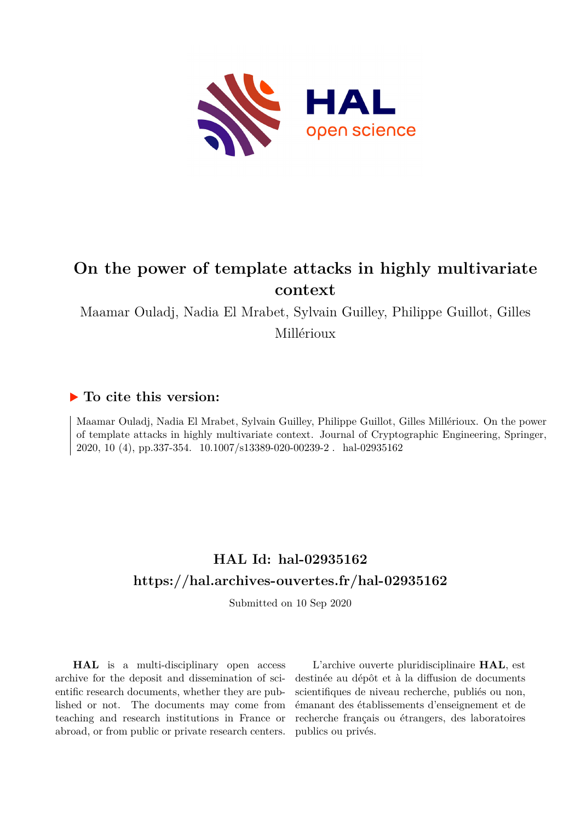

# **On the power of template attacks in highly multivariate context**

Maamar Ouladj, Nadia El Mrabet, Sylvain Guilley, Philippe Guillot, Gilles Millérioux

# **To cite this version:**

Maamar Ouladj, Nadia El Mrabet, Sylvain Guilley, Philippe Guillot, Gilles Millérioux. On the power of template attacks in highly multivariate context. Journal of Cryptographic Engineering, Springer, 2020, 10 (4), pp.337-354. 10.1007/s13389-020-00239-2. hal-02935162

# **HAL Id: hal-02935162 <https://hal.archives-ouvertes.fr/hal-02935162>**

Submitted on 10 Sep 2020

**HAL** is a multi-disciplinary open access archive for the deposit and dissemination of scientific research documents, whether they are published or not. The documents may come from teaching and research institutions in France or abroad, or from public or private research centers.

L'archive ouverte pluridisciplinaire **HAL**, est destinée au dépôt et à la diffusion de documents scientifiques de niveau recherche, publiés ou non, émanant des établissements d'enseignement et de recherche français ou étrangers, des laboratoires publics ou privés.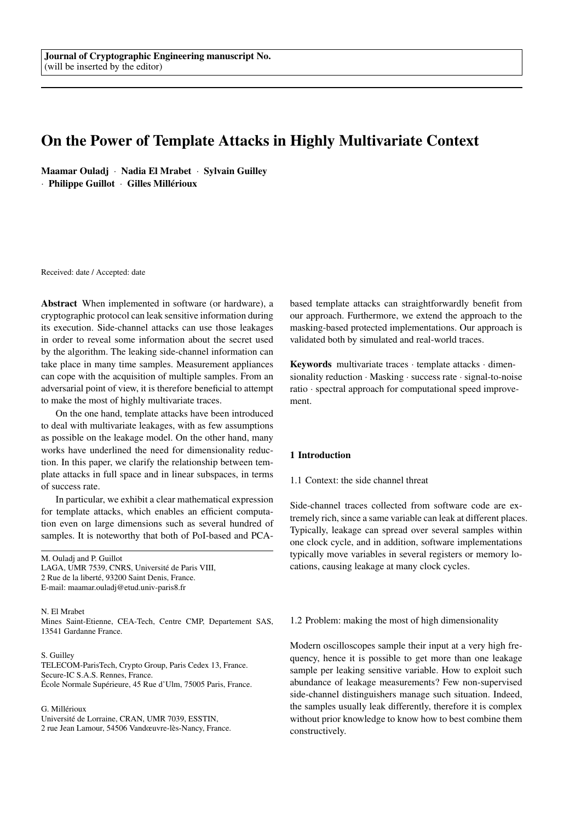# On the Power of Template Attacks in Highly Multivariate Context

Maamar Ouladj · Nadia El Mrabet · Sylvain Guilley · Philippe Guillot · Gilles Millérioux

Received: date / Accepted: date

Abstract When implemented in software (or hardware), a cryptographic protocol can leak sensitive information during its execution. Side-channel attacks can use those leakages in order to reveal some information about the secret used by the algorithm. The leaking side-channel information can take place in many time samples. Measurement appliances can cope with the acquisition of multiple samples. From an adversarial point of view, it is therefore beneficial to attempt to make the most of highly multivariate traces.

On the one hand, template attacks have been introduced to deal with multivariate leakages, with as few assumptions as possible on the leakage model. On the other hand, many works have underlined the need for dimensionality reduction. In this paper, we clarify the relationship between template attacks in full space and in linear subspaces, in terms of success rate.

In particular, we exhibit a clear mathematical expression for template attacks, which enables an efficient computation even on large dimensions such as several hundred of samples. It is noteworthy that both of PoI-based and PCA-

M. Ouladj and P. Guillot LAGA, UMR 7539, CNRS, Université de Paris VIII, 2 Rue de la liberté, 93200 Saint Denis, France. E-mail: maamar.ouladj@etud.univ-paris8.fr

N. El Mrabet Mines Saint-Etienne, CEA-Tech, Centre CMP, Departement SAS, 13541 Gardanne France.

#### S. Guilley

TELECOM-ParisTech, Crypto Group, Paris Cedex 13, France. Secure-IC S.A.S. Rennes, France. École Normale Supérieure, 45 Rue d'Ulm, 75005 Paris, France.

# G. Millérioux

Université de Lorraine, CRAN, UMR 7039, ESSTIN,

2 rue Jean Lamour, 54506 Vandœuvre-lès-Nancy, France.

based template attacks can straightforwardly benefit from our approach. Furthermore, we extend the approach to the masking-based protected implementations. Our approach is validated both by simulated and real-world traces.

Keywords multivariate traces · template attacks · dimensionality reduction · Masking · success rate · signal-to-noise ratio · spectral approach for computational speed improvement.

# 1 Introduction

1.1 Context: the side channel threat

Side-channel traces collected from software code are extremely rich, since a same variable can leak at different places. Typically, leakage can spread over several samples within one clock cycle, and in addition, software implementations typically move variables in several registers or memory locations, causing leakage at many clock cycles.

1.2 Problem: making the most of high dimensionality

Modern oscilloscopes sample their input at a very high frequency, hence it is possible to get more than one leakage sample per leaking sensitive variable. How to exploit such abundance of leakage measurements? Few non-supervised side-channel distinguishers manage such situation. Indeed, the samples usually leak differently, therefore it is complex without prior knowledge to know how to best combine them constructively.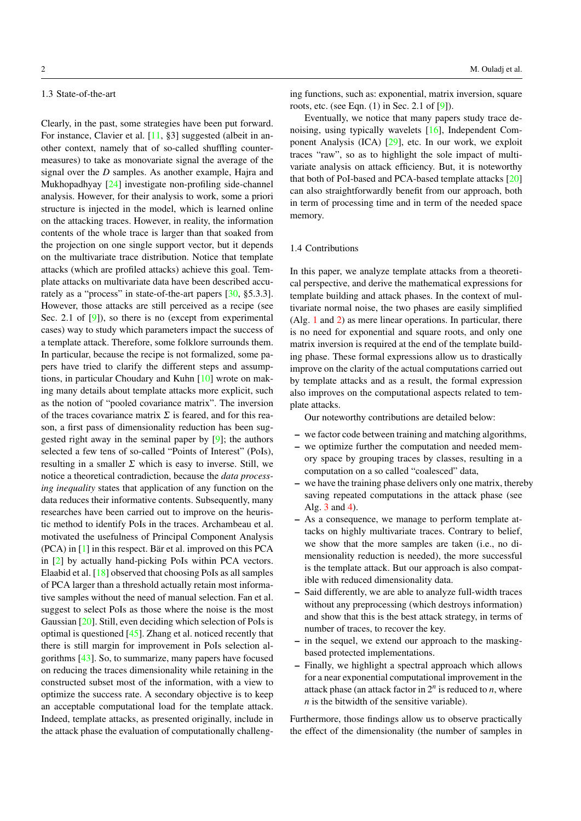# 1.3 State-of-the-art

Clearly, in the past, some strategies have been put forward. For instance, Clavier et al. [11, §3] suggested (albeit in another context, namely that of so-called shuffling countermeasures) to take as monovariate signal the average of the signal over the *D* samples. As another example, Hajra and Mukhopadhyay [24] investigate non-profiling side-channel analysis. However, for their analysis to work, some a priori structure is injected in the model, which is learned online on the attacking traces. However, in reality, the information contents of the whole trace is larger than that soaked from the projection on one single support vector, but it depends on the multivariate trace distribution. Notice that template attacks (which are profiled attacks) achieve this goal. Template attacks on multivariate data have been described accurately as a "process" in state-of-the-art papers [30, §5.3.3]. However, those attacks are still perceived as a recipe (see Sec. 2.1 of [9]), so there is no (except from experimental cases) way to study which parameters impact the success of a template attack. Therefore, some folklore surrounds them. In particular, because the recipe is not formalized, some papers have tried to clarify the different steps and assumptions, in particular Choudary and Kuhn [10] wrote on making many details about template attacks more explicit, such as the notion of "pooled covariance matrix". The inversion of the traces covariance matrix  $\Sigma$  is feared, and for this reason, a first pass of dimensionality reduction has been suggested right away in the seminal paper by [9]; the authors selected a few tens of so-called "Points of Interest" (PoIs), resulting in a smaller  $\Sigma$  which is easy to inverse. Still, we notice a theoretical contradiction, because the *data processing inequality* states that application of any function on the data reduces their informative contents. Subsequently, many researches have been carried out to improve on the heuristic method to identify PoIs in the traces. Archambeau et al. motivated the usefulness of Principal Component Analysis (PCA) in [1] in this respect. Bär et al. improved on this PCA in [2] by actually hand-picking PoIs within PCA vectors. Elaabid et al. [18] observed that choosing PoIs as all samples of PCA larger than a threshold actually retain most informative samples without the need of manual selection. Fan et al. suggest to select PoIs as those where the noise is the most Gaussian [20]. Still, even deciding which selection of PoIs is optimal is questioned [45]. Zhang et al. noticed recently that there is still margin for improvement in PoIs selection algorithms [43]. So, to summarize, many papers have focused on reducing the traces dimensionality while retaining in the constructed subset most of the information, with a view to optimize the success rate. A secondary objective is to keep an acceptable computational load for the template attack. Indeed, template attacks, as presented originally, include in the attack phase the evaluation of computationally challenging functions, such as: exponential, matrix inversion, square roots, etc. (see Eqn. (1) in Sec. 2.1 of [9]).

Eventually, we notice that many papers study trace denoising, using typically wavelets [16], Independent Component Analysis (ICA) [29], etc. In our work, we exploit traces "raw", so as to highlight the sole impact of multivariate analysis on attack efficiency. But, it is noteworthy that both of PoI-based and PCA-based template attacks [20] can also straightforwardly benefit from our approach, both in term of processing time and in term of the needed space memory.

#### 1.4 Contributions

In this paper, we analyze template attacks from a theoretical perspective, and derive the mathematical expressions for template building and attack phases. In the context of multivariate normal noise, the two phases are easily simplified (Alg. 1 and 2) as mere linear operations. In particular, there is no need for exponential and square roots, and only one matrix inversion is required at the end of the template building phase. These formal expressions allow us to drastically improve on the clarity of the actual computations carried out by template attacks and as a result, the formal expression also improves on the computational aspects related to template attacks.

Our noteworthy contributions are detailed below:

- we factor code between training and matching algorithms,
- we optimize further the computation and needed memory space by grouping traces by classes, resulting in a computation on a so called "coalesced" data,
- we have the training phase delivers only one matrix, thereby saving repeated computations in the attack phase (see Alg. 3 and 4).
- As a consequence, we manage to perform template attacks on highly multivariate traces. Contrary to belief, we show that the more samples are taken (i.e., no dimensionality reduction is needed), the more successful is the template attack. But our approach is also compatible with reduced dimensionality data.
- Said differently, we are able to analyze full-width traces without any preprocessing (which destroys information) and show that this is the best attack strategy, in terms of number of traces, to recover the key.
- in the sequel, we extend our approach to the maskingbased protected implementations.
- Finally, we highlight a spectral approach which allows for a near exponential computational improvement in the attack phase (an attack factor in  $2^n$  is reduced to  $n$ , where *n* is the bitwidth of the sensitive variable).

Furthermore, those findings allow us to observe practically the effect of the dimensionality (the number of samples in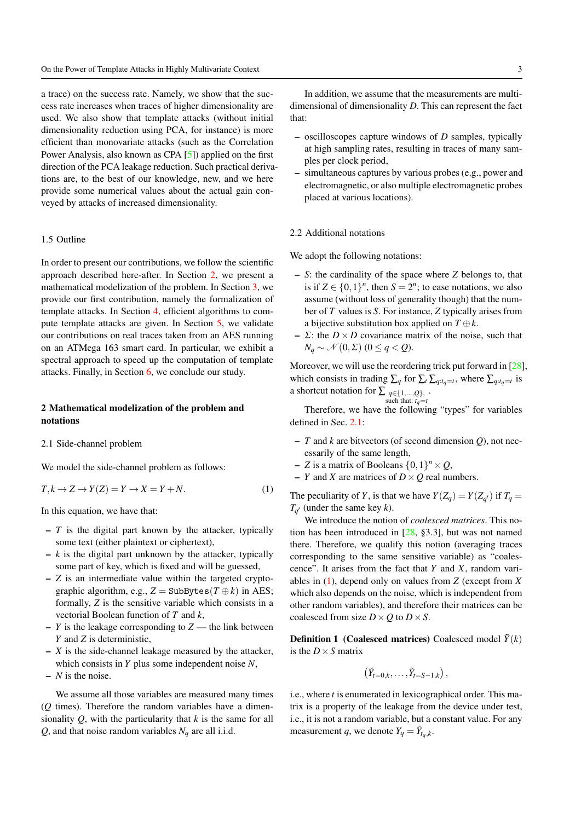a trace) on the success rate. Namely, we show that the success rate increases when traces of higher dimensionality are used. We also show that template attacks (without initial dimensionality reduction using PCA, for instance) is more efficient than monovariate attacks (such as the Correlation Power Analysis, also known as CPA [5]) applied on the first direction of the PCA leakage reduction. Such practical derivations are, to the best of our knowledge, new, and we here provide some numerical values about the actual gain conveyed by attacks of increased dimensionality.

# 1.5 Outline

In order to present our contributions, we follow the scientific approach described here-after. In Section 2, we present a mathematical modelization of the problem. In Section 3, we provide our first contribution, namely the formalization of template attacks. In Section 4, efficient algorithms to compute template attacks are given. In Section 5, we validate our contributions on real traces taken from an AES running on an ATMega 163 smart card. In particular, we exhibit a spectral approach to speed up the computation of template attacks. Finally, in Section 6, we conclude our study.

# 2 Mathematical modelization of the problem and notations

2.1 Side-channel problem

We model the side-channel problem as follows:

$$
T, k \to Z \to Y(Z) = Y \to X = Y + N. \tag{1}
$$

In this equation, we have that:

- *T* is the digital part known by the attacker, typically some text (either plaintext or ciphertext),
- $k$  is the digital part unknown by the attacker, typically some part of key, which is fixed and will be guessed,
- *Z* is an intermediate value within the targeted cryptographic algorithm, e.g.,  $Z =$  SubBytes( $T \oplus k$ ) in AES; formally, *Z* is the sensitive variable which consists in a vectorial Boolean function of *T* and *k*,
- $-$  *Y* is the leakage corresponding to  $Z$  the link between *Y* and *Z* is deterministic,
- *X* is the side-channel leakage measured by the attacker, which consists in *Y* plus some independent noise *N*,
- *N* is the noise.

We assume all those variables are measured many times (*Q* times). Therefore the random variables have a dimensionality *Q*, with the particularity that *k* is the same for all *Q*, and that noise random variables  $N_q$  are all i.i.d.

In addition, we assume that the measurements are multidimensional of dimensionality *D*. This can represent the fact that:

- oscilloscopes capture windows of *D* samples, typically at high sampling rates, resulting in traces of many samples per clock period,
- simultaneous captures by various probes (e.g., power and electromagnetic, or also multiple electromagnetic probes placed at various locations).

# 2.2 Additional notations

We adopt the following notations:

- *S*: the cardinality of the space where *Z* belongs to, that is if  $Z \in \{0,1\}^n$ , then  $S = 2^n$ ; to ease notations, we also assume (without loss of generality though) that the number of *T* values is *S*. For instance, *Z* typically arises from a bijective substitution box applied on  $T \oplus k$ .
- $\overline{\phantom{a}}$   $\Sigma$ : the  $D \times D$  covariance matrix of the noise, such that  $N_q$  ∼  $N$  (0, Σ) (0 ≤ *q* < *Q*).

Moreover, we will use the reordering trick put forward in [28], which consists in trading  $\sum_q$  for  $\sum_t \sum_{q:t_q=t}$ , where  $\sum_{q:t_q=t}$  is a shortcut notation for  $\sum_{q \in \{1,\dots,Q\}}$ , such that: *t*<sub>*q*=*t*</sub> .

Therefore, we have the following "types" for variables defined in Sec. 2.1:

- *T* and *k* are bitvectors (of second dimension *Q*), not necessarily of the same length,
- $Z$  is a matrix of Booleans  $\{0, 1\}^n \times Q$ ,
- *Y* and *X* are matrices of  $D \times Q$  real numbers.

The peculiarity of *Y*, is that we have  $Y(Z_q) = Y(Z_{q'})$  if  $T_q =$  $T_{q'}$  (under the same key *k*).

We introduce the notion of *coalesced matrices*. This notion has been introduced in  $[28, §3.3]$ , but was not named there. Therefore, we qualify this notion (averaging traces corresponding to the same sensitive variable) as "coalescence". It arises from the fact that *Y* and *X*, random variables in (1), depend only on values from *Z* (except from *X* which also depends on the noise, which is independent from other random variables), and therefore their matrices can be coalesced from size  $D \times Q$  to  $D \times S$ .

**Definition 1** (Coalesced matrices) Coalesced model  $\tilde{Y}(k)$ is the  $D \times S$  matrix

$$
(\tilde{Y}_{t=0,k},\ldots,\tilde{Y}_{t=S-1,k}),
$$

i.e., where *t* is enumerated in lexicographical order. This matrix is a property of the leakage from the device under test, i.e., it is not a random variable, but a constant value. For any measurement *q*, we denote  $Y_q = \tilde{Y}_{t_q,k}$ .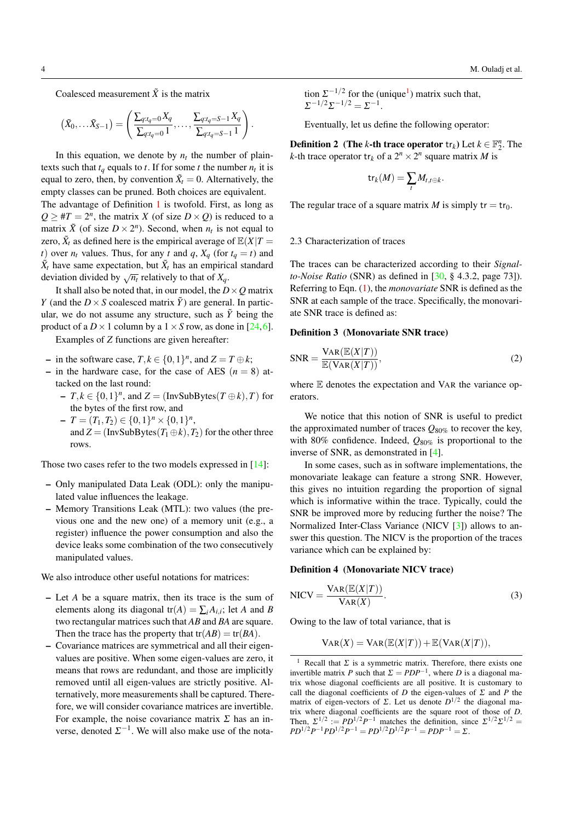Coalesced measurement  $\tilde{X}$  is the matrix

$$
(\tilde{X}_0, \ldots \tilde{X}_{S-1}) = \left( \frac{\sum_{q:t_q=0} X_q}{\sum_{q:t_q=0} 1}, \ldots, \frac{\sum_{q:t_q=S-1} X_q}{\sum_{q:t_q=S-1} 1} \right).
$$

In this equation, we denote by  $n_t$  the number of plaintexts such that  $t_q$  equals to  $t$ . If for some  $t$  the number  $n_t$  it is equal to zero, then, by convention  $\tilde{X}_t = 0$ . Alternatively, the empty classes can be pruned. Both choices are equivalent.

The advantage of Definition 1 is twofold. First, as long as  $Q \geq \#T = 2^n$ , the matrix *X* (of size *D* × *Q*) is reduced to a matrix  $\tilde{X}$  (of size  $D \times 2^n$ ). Second, when  $n_t$  is not equal to zero,  $\tilde{X}_t$  as defined here is the empirical average of  $\mathbb{E}(X|T)$ *t*) over  $n_t$  values. Thus, for any *t* and *q*,  $X_a$  (for  $t_a = t$ ) and  $\tilde{X}_t$  have same expectation, but  $\tilde{X}_t$  has an empirical standard deviation divided by  $\sqrt{n_t}$  relatively to that of  $X_q$ .

It shall also be noted that, in our model, the  $D \times Q$  matrix *Y* (and the  $D \times S$  coalesced matrix  $\tilde{Y}$ ) are general. In particular, we do not assume any structure, such as  $\tilde{Y}$  being the product of a  $D \times 1$  column by a  $1 \times S$  row, as done in [24,6].

Examples of *Z* functions are given hereafter:

- $-$  in the software case,  $T, k \in \{0, 1\}^n$ , and  $Z = T \oplus k$ ;
- in the hardware case, for the case of AES  $(n = 8)$  attacked on the last round:
	- $-T, k \in \{0, 1\}^n$ , and  $Z = (\text{InvSubBytes}(T \oplus k), T)$  for the bytes of the first row, and
	- $\overline{I} = (T_1, T_2) \in \{0, 1\}^n \times \{0, 1\}^n$ and  $Z = (InvSubBytes(T_1 \oplus k), T_2)$  for the other three rows.

Those two cases refer to the two models expressed in [14]:

- Only manipulated Data Leak (ODL): only the manipulated value influences the leakage.
- Memory Transitions Leak (MTL): two values (the previous one and the new one) of a memory unit (e.g., a register) influence the power consumption and also the device leaks some combination of the two consecutively manipulated values.

We also introduce other useful notations for matrices:

- Let *A* be a square matrix, then its trace is the sum of elements along its diagonal  $tr(A) = \sum_i A_{i,i}$ ; let *A* and *B* two rectangular matrices such that *AB* and *BA* are square. Then the trace has the property that  $tr(AB) = tr(BA)$ .
- Covariance matrices are symmetrical and all their eigenvalues are positive. When some eigen-values are zero, it means that rows are redundant, and those are implicitly removed until all eigen-values are strictly positive. Alternatively, more measurements shall be captured. Therefore, we will consider covariance matrices are invertible. For example, the noise covariance matrix  $\Sigma$  has an inverse, denoted  $\Sigma^{-1}$ . We will also make use of the nota-

tion  $\Sigma^{-1/2}$  for the (unique<sup>1</sup>) matrix such that,  $\Sigma^{-1/2}\Sigma^{-1/2} = \Sigma^{-1}.$ 

Eventually, let us define the following operator:

**Definition 2** (The *k*-th trace operator  $tr_k$ ) Let  $k \in \mathbb{F}_2^n$ . The *k*-th trace operator  $tr_k$  of a  $2^n \times 2^n$  square matrix *M* is

$$
\mathsf{tr}_k(M) = \sum_t M_{t,t \oplus k}.
$$

The regular trace of a square matrix *M* is simply  $tr = tr_0$ .

# 2.3 Characterization of traces

The traces can be characterized according to their *Signalto-Noise Ratio* (SNR) as defined in [30, § 4.3.2, page 73]). Referring to Eqn. (1), the *monovariate* SNR is defined as the SNR at each sample of the trace. Specifically, the monovariate SNR trace is defined as:

#### Definition 3 (Monovariate SNR trace)

$$
SNR = \frac{VAR(\mathbb{E}(X|T))}{\mathbb{E}(VAR(X|T))},
$$
\n(2)

where  $E$  denotes the expectation and VAR the variance operators.

We notice that this notion of SNR is useful to predict the approximated number of traces  $Q_{80\%}$  to recover the key, with 80% confidence. Indeed, *Q*80% is proportional to the inverse of SNR, as demonstrated in [4].

In some cases, such as in software implementations, the monovariate leakage can feature a strong SNR. However, this gives no intuition regarding the proportion of signal which is informative within the trace. Typically, could the SNR be improved more by reducing further the noise? The Normalized Inter-Class Variance (NICV [3]) allows to answer this question. The NICV is the proportion of the traces variance which can be explained by:

# Definition 4 (Monovariate NICV trace)

$$
NICV = \frac{VAR(\mathbb{E}(X|T))}{VAR(X)}.
$$
\n(3)

Owing to the law of total variance, that is

 $VAR(X) = VAR(\mathbb{E}(X|T)) + \mathbb{E}(VAR(X|T)),$ 

Recall that  $\Sigma$  is a symmetric matrix. Therefore, there exists one invertible matrix *P* such that  $\Sigma = PDP^{-1}$ , where *D* is a diagonal matrix whose diagonal coefficients are all positive. It is customary to call the diagonal coefficients of *D* the eigen-values of  $\Sigma$  and *P* the matrix of eigen-vectors of  $\Sigma$ . Let us denote  $D^{1/2}$  the diagonal matrix where diagonal coefficients are the square root of those of *D*. Then,  $\Sigma^{1/2} := PD^{1/2}P^{-1}$  matches the definition, since  $\Sigma^{1/2}\Sigma^{1/2} =$  $PD^{1/2}P^{-1}PD^{1/2}P^{-1} = PD^{1/2}D^{1/2}P^{-1} = PDP^{-1} = \Sigma.$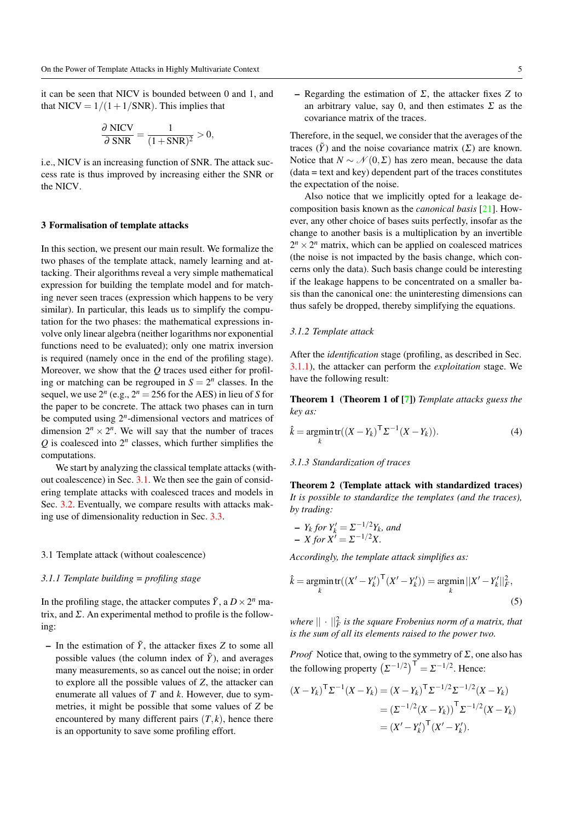it can be seen that NICV is bounded between 0 and 1, and that NICV =  $1/(1+1/SNR)$ . This implies that

$$
\frac{\partial \text{ NICV}}{\partial \text{ SNR}} = \frac{1}{(1 + \text{SNR})^2} > 0,
$$

i.e., NICV is an increasing function of SNR. The attack success rate is thus improved by increasing either the SNR or the NICV.

#### 3 Formalisation of template attacks

In this section, we present our main result. We formalize the two phases of the template attack, namely learning and attacking. Their algorithms reveal a very simple mathematical expression for building the template model and for matching never seen traces (expression which happens to be very similar). In particular, this leads us to simplify the computation for the two phases: the mathematical expressions involve only linear algebra (neither logarithms nor exponential functions need to be evaluated); only one matrix inversion is required (namely once in the end of the profiling stage). Moreover, we show that the *Q* traces used either for profiling or matching can be regrouped in  $S = 2<sup>n</sup>$  classes. In the sequel, we use  $2^n$  (e.g.,  $2^n = 256$  for the AES) in lieu of *S* for the paper to be concrete. The attack two phases can in turn be computed using 2*<sup>n</sup>* -dimensional vectors and matrices of dimension  $2^n \times 2^n$ . We will say that the number of traces  $Q$  is coalesced into  $2^n$  classes, which further simplifies the computations.

We start by analyzing the classical template attacks (without coalescence) in Sec. 3.1. We then see the gain of considering template attacks with coalesced traces and models in Sec. 3.2. Eventually, we compare results with attacks making use of dimensionality reduction in Sec. 3.3.

#### 3.1 Template attack (without coalescence)

#### *3.1.1 Template building = profiling stage*

In the profiling stage, the attacker computes  $\tilde{Y}$ , a  $D \times 2^n$  matrix, and  $\Sigma$ . An experimental method to profile is the following:

– In the estimation of  $\tilde{Y}$ , the attacker fixes *Z* to some all possible values (the column index of  $\tilde{Y}$ ), and averages many measurements, so as cancel out the noise; in order to explore all the possible values of *Z*, the attacker can enumerate all values of *T* and *k*. However, due to symmetries, it might be possible that some values of *Z* be encountered by many different pairs  $(T, k)$ , hence there is an opportunity to save some profiling effort.

– Regarding the estimation of Σ, the attacker fixes *Z* to an arbitrary value, say 0, and then estimates  $\Sigma$  as the covariance matrix of the traces.

Therefore, in the sequel, we consider that the averages of the traces  $(\tilde{Y})$  and the noise covariance matrix  $(\Sigma)$  are known. Notice that  $N \sim \mathcal{N}(0, \Sigma)$  has zero mean, because the data (data = text and key) dependent part of the traces constitutes the expectation of the noise.

Also notice that we implicitly opted for a leakage decomposition basis known as the *canonical basis* [21]. However, any other choice of bases suits perfectly, insofar as the change to another basis is a multiplication by an invertible  $2^n \times 2^n$  matrix, which can be applied on coalesced matrices (the noise is not impacted by the basis change, which concerns only the data). Such basis change could be interesting if the leakage happens to be concentrated on a smaller basis than the canonical one: the uninteresting dimensions can thus safely be dropped, thereby simplifying the equations.

#### *3.1.2 Template attack*

After the *identification* stage (profiling, as described in Sec. 3.1.1), the attacker can perform the *exploitation* stage. We have the following result:

Theorem 1 (Theorem 1 of [7]) *Template attacks guess the key as:*

$$
\hat{k} = \underset{k}{\text{argmin}} \operatorname{tr}((X - Y_k)^{\mathsf{T}} \Sigma^{-1} (X - Y_k)).
$$
\n(4)

#### *3.1.3 Standardization of traces*

Theorem 2 (Template attack with standardized traces) *It is possible to standardize the templates (and the traces), by trading:*

$$
- Y_k \text{ for } Y'_k = \Sigma^{-1/2} Y_k, \text{ and}
$$
  

$$
- X \text{ for } X' = \Sigma^{-1/2} X.
$$

*Accordingly, the template attack simplifies as:*

$$
\hat{k} = \underset{k}{\text{argmin}} \text{tr}((X' - Y'_k)^{\text{T}}(X' - Y'_k)) = \underset{k}{\text{argmin}} ||X' - Y'_k||_F^2,
$$
\n(5)

where  $||\cdot||_F^2$  is the square Frobenius norm of a matrix, that *is the sum of all its elements raised to the power two.*

*Proof* Notice that, owing to the symmetry of  $\Sigma$ , one also has the following property  $(\Sigma^{-1/2})^{\mathsf{T}} = \Sigma^{-1/2}$ . Hence:

$$
(X - Y_k)^{\mathsf{T}} \Sigma^{-1} (X - Y_k) = (X - Y_k)^{\mathsf{T}} \Sigma^{-1/2} \Sigma^{-1/2} (X - Y_k)
$$
  
=  $(\Sigma^{-1/2} (X - Y_k))^{\mathsf{T}} \Sigma^{-1/2} (X - Y_k)$   
=  $(X' - Y'_k)^{\mathsf{T}} (X' - Y'_k).$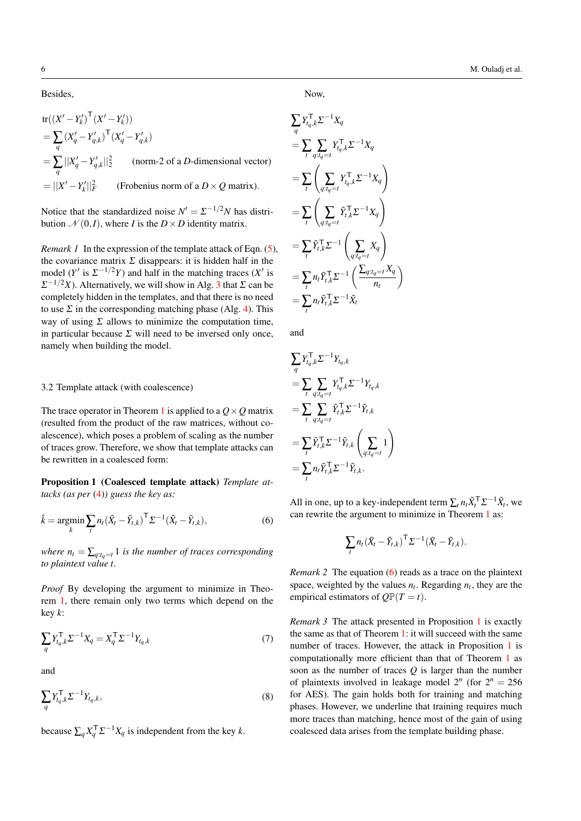Besides,

 $tr((X'-Y'_k)^{\top}(X'-Y'_k))$  $=\sum_{q}$  $(X'_q - Y'_{q,k})^{\mathsf{T}} (X'_q - Y'_{q,k})$  $=\sum_{q} ||X'_q - Y'_{q,k}||_2^2$  (norm-2 of a *D*-dimensional vector)  $= ||X' - Y_k'||_F^2$ (Frobenius norm of a  $D \times Q$  matrix).

Notice that the standardized noise  $N' = \sum_{n=1}^{\infty} \frac{1}{2}N$  has distribution  $\mathcal{N}(0,I)$ , where *I* is the  $D \times D$  identity matrix.

*Remark 1* In the expression of the template attack of Eqn. (5), the covariance matrix  $\Sigma$  disappears: it is hidden half in the model (*Y*<sup> $\prime$ </sup> is  $\Sigma^{-1/2}Y$ ) and half in the matching traces (*X*<sup> $\prime$ </sup> is  $\Sigma^{-1/2}X$ ). Alternatively, we will show in Alg. 3 that  $\Sigma$  can be completely hidden in the templates, and that there is no need to use  $\Sigma$  in the corresponding matching phase (Alg. 4). This way of using  $\Sigma$  allows to minimize the computation time, in particular because  $\Sigma$  will need to be inversed only once, namely when building the model.

#### 3.2 Template attack (with coalescence)

The trace operator in Theorem 1 is applied to a  $Q \times Q$  matrix (resulted from the product of the raw matrices, without coalescence), which poses a problem of scaling as the number of traces grow. Therefore, we show that template attacks can be rewritten in a coalesced form:

Proposition 1 (Coalesced template attack) *Template attacks (as per* (4)*) guess the key as:*

$$
\hat{k} = \underset{k}{\text{argmin}} \sum_{t} n_t (\tilde{X}_t - \tilde{Y}_{t,k})^{\top} \Sigma^{-1} (\tilde{X}_t - \tilde{Y}_{t,k}),
$$
\n(6)

*where*  $n_t = \sum_{q:t_q=t} 1$  *is the number of traces corresponding to plaintext value t.*

*Proof* By developing the argument to minimize in Theorem 1, there remain only two terms which depend on the key *k*:

$$
\sum_{q} Y_{t_q,k}^{\mathsf{T}} \Sigma^{-1} X_q = X_q^{\mathsf{T}} \Sigma^{-1} Y_{t_q,k} \tag{7}
$$

and

$$
\sum_{q} Y_{t_q,k}^{\mathsf{T}} \Sigma^{-1} Y_{t_q,k},\tag{8}
$$

because  $\sum_{q} X_{q}^{\mathsf{T}} \Sigma^{-1} X_{q}$  is independent from the key *k*.

Now,

$$
\sum_{q} Y_{t_q,k}^{\mathsf{T}} \Sigma^{-1} X_q
$$
\n
$$
= \sum_{t} \sum_{q:t_q=t} Y_{t_q,k}^{\mathsf{T}} \Sigma^{-1} X_q
$$
\n
$$
= \sum_{t} \left( \sum_{q:t_q=t} Y_{t_q,k}^{\mathsf{T}} \Sigma^{-1} X_q \right)
$$
\n
$$
= \sum_{t} \left( \sum_{q:t_q=t} \tilde{Y}_{t,k}^{\mathsf{T}} \Sigma^{-1} X_q \right)
$$
\n
$$
= \sum_{t} \tilde{Y}_{t,k}^{\mathsf{T}} \Sigma^{-1} \left( \sum_{q:t_q=t} X_q \right)
$$
\n
$$
= \sum_{t} n_t \tilde{Y}_{t,k}^{\mathsf{T}} \Sigma^{-1} \left( \frac{\sum_{q:t_q=t} X_q}{n_t} \right)
$$
\n
$$
= \sum_{t} n_t \tilde{Y}_{t,k}^{\mathsf{T}} \Sigma^{-1} \tilde{X}_t
$$

and

$$
\sum_{q} Y_{t_q,k}^{\mathsf{T}} \Sigma^{-1} Y_{t_q,k}
$$
\n
$$
= \sum_{t} \sum_{q:t_q=t} Y_{t_q,k}^{\mathsf{T}} \Sigma^{-1} Y_{t_q,k}
$$
\n
$$
= \sum_{t} \sum_{q:t_q=t} \tilde{Y}_{t,k}^{\mathsf{T}} \Sigma^{-1} \tilde{Y}_{t,k}
$$
\n
$$
= \sum_{t} \tilde{Y}_{t,k}^{\mathsf{T}} \Sigma^{-1} \tilde{Y}_{t,k} \left( \sum_{q:t_q=t} 1 \right)
$$
\n
$$
= \sum_{t} n_t \tilde{Y}_{t,k}^{\mathsf{T}} \Sigma^{-1} \tilde{Y}_{t,k}.
$$

All in one, up to a key-independent term  $\sum_{t} n_t \tilde{X}_t^{\mathsf{T}} \Sigma^{-1} \tilde{X}_t$ , we can rewrite the argument to minimize in Theorem 1 as:

$$
\sum_t n_t (\tilde{X}_t - \tilde{Y}_{t,k})^{\mathsf{T}} \Sigma^{-1} (\tilde{X}_t - \tilde{Y}_{t,k}).
$$

*Remark 2* The equation (6) reads as a trace on the plaintext space, weighted by the values  $n_t$ . Regarding  $n_t$ , they are the empirical estimators of  $QP(T = t)$ .

*Remark 3* The attack presented in Proposition 1 is exactly the same as that of Theorem 1: it will succeed with the same number of traces. However, the attack in Proposition 1 is computationally more efficient than that of Theorem 1 as soon as the number of traces *Q* is larger than the number of plaintexts involved in leakage model  $2^n$  (for  $2^n = 256$ ) for AES). The gain holds both for training and matching phases. However, we underline that training requires much more traces than matching, hence most of the gain of using coalesced data arises from the template building phase.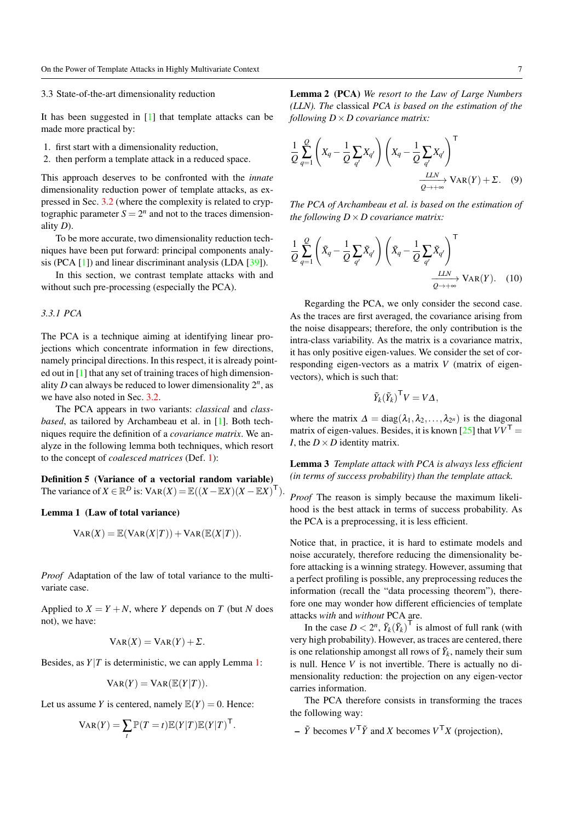#### 3.3 State-of-the-art dimensionality reduction

It has been suggested in [1] that template attacks can be made more practical by:

- 1. first start with a dimensionality reduction,
- 2. then perform a template attack in a reduced space.

This approach deserves to be confronted with the *innate* dimensionality reduction power of template attacks, as expressed in Sec. 3.2 (where the complexity is related to cryptographic parameter  $S = 2^n$  and not to the traces dimensionality *D*).

To be more accurate, two dimensionality reduction techniques have been put forward: principal components analysis (PCA [1]) and linear discriminant analysis (LDA [39]).

In this section, we contrast template attacks with and without such pre-processing (especially the PCA).

#### *3.3.1 PCA*

The PCA is a technique aiming at identifying linear projections which concentrate information in few directions, namely principal directions. In this respect, it is already pointed out in [1] that any set of training traces of high dimensionality  $D$  can always be reduced to lower dimensionality  $2^n$ , as we have also noted in Sec. 3.2.

The PCA appears in two variants: *classical* and *classbased*, as tailored by Archambeau et al. in [1]. Both techniques require the definition of a *covariance matrix*. We analyze in the following lemma both techniques, which resort to the concept of *coalesced matrices* (Def. 1):

Definition 5 (Variance of a vectorial random variable) The variance of  $X \in \mathbb{R}^D$  is:  $\text{VAR}(X) = \mathbb{E}((X - \mathbb{E}X)(X - \mathbb{E}X)^{\top}).$ 

#### Lemma 1 (Law of total variance)

$$
Var(X) = \mathbb{E}(Var(X|T)) + Var(\mathbb{E}(X|T)).
$$

*Proof* Adaptation of the law of total variance to the multivariate case.

Applied to  $X = Y + N$ , where *Y* depends on *T* (but *N* does not), we have:

$$
VAR(X) = VAR(Y) + \Sigma.
$$

Besides, as  $Y|T$  is deterministic, we can apply Lemma 1:

$$
\mathrm{Var}(Y) = \mathrm{Var}(\mathbb{E}(Y|T)).
$$

Let us assume *Y* is centered, namely  $\mathbb{E}(Y) = 0$ . Hence:

$$
VAR(Y) = \sum_{t} \mathbb{P}(T = t) \mathbb{E}(Y|T) \mathbb{E}(Y|T)^{\mathsf{T}}.
$$

Lemma 2 (PCA) *We resort to the Law of Large Numbers (LLN). The* classical *PCA is based on the estimation of the following D*×*D covariance matrix:*

$$
\frac{1}{Q} \sum_{q=1}^{Q} \left( X_q - \frac{1}{Q} \sum_{q'} X_{q'} \right) \left( X_q - \frac{1}{Q} \sum_{q'} X_{q'} \right)^{\mathsf{T}} \xrightarrow[\frac{LLN}{Q \to +\infty} \text{VAR}(Y) + \Sigma. \tag{9}
$$

*The PCA of Archambeau et al. is based on the estimation of the following*  $D \times D$  *covariance matrix:* 

$$
\frac{1}{Q} \sum_{q=1}^{Q} \left( \tilde{X}_q - \frac{1}{Q} \sum_{q'} \tilde{X}_{q'} \right) \left( \tilde{X}_q - \frac{1}{Q} \sum_{q'} \tilde{X}_{q'} \right)^{\mathsf{T}} \xrightarrow[\frac{LLN}{Q \to +\infty} \text{VAR}(Y). \quad (10)
$$

Regarding the PCA, we only consider the second case. As the traces are first averaged, the covariance arising from the noise disappears; therefore, the only contribution is the intra-class variability. As the matrix is a covariance matrix, it has only positive eigen-values. We consider the set of corresponding eigen-vectors as a matrix *V* (matrix of eigenvectors), which is such that:

$$
\tilde{Y}_k(\tilde{Y}_k)^\mathsf{T} V = V \Delta,
$$

where the matrix  $\Delta = diag(\lambda_1, \lambda_2, ..., \lambda_{2^n})$  is the diagonal matrix of eigen-values. Besides, it is known  $[25]$  that  $VV<sup>T</sup>$  = *I*, the  $D \times D$  identity matrix.

Lemma 3 *Template attack with PCA is always less efficient (in terms of success probability) than the template attack.*

*Proof* The reason is simply because the maximum likelihood is the best attack in terms of success probability. As the PCA is a preprocessing, it is less efficient.

Notice that, in practice, it is hard to estimate models and noise accurately, therefore reducing the dimensionality before attacking is a winning strategy. However, assuming that a perfect profiling is possible, any preprocessing reduces the information (recall the "data processing theorem"), therefore one may wonder how different efficiencies of template attacks *with* and *without* PCA are.

In the case  $D < 2^n$ ,  $\tilde{Y}_k(\tilde{Y}_k)^\top$  is almost of full rank (with very high probability). However, as traces are centered, there is one relationship amongst all rows of  $\tilde{Y}_k$ , namely their sum is null. Hence *V* is not invertible. There is actually no dimensionality reduction: the projection on any eigen-vector carries information.

The PCA therefore consists in transforming the traces the following way:

 $\sim \tilde{Y}$  becomes  $V^{\top} \tilde{Y}$  and *X* becomes  $V^{\top} X$  (projection),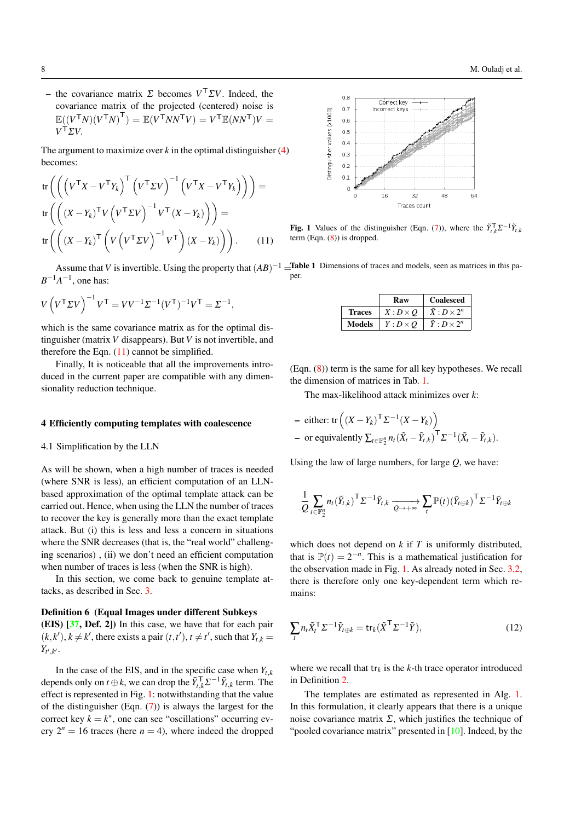$\sim$  the covariance matrix  $\Sigma$  becomes  $V^{\top} \Sigma V$ . Indeed, the covariance matrix of the projected (centered) noise is  $\mathbb{E}((V^\mathsf{T} N)(V^\mathsf{T} N)^\mathsf{T}) = \mathbb{E}(V^\mathsf{T} N N^\mathsf{T} V) = V^\mathsf{T} \mathbb{E}(N N^\mathsf{T}) V =$ *V* <sup>T</sup>Σ*V*.

The argument to maximize over  $k$  in the optimal distinguisher  $(4)$ becomes:

tr
$$
\begin{aligned} \operatorname{tr}\left(\left(\left(V^{\mathsf{T}}X - V^{\mathsf{T}}Y_{k}\right)^{\mathsf{T}}\left(V^{\mathsf{T}}\Sigma V\right)^{-1}\left(V^{\mathsf{T}}X - V^{\mathsf{T}}Y_{k}\right)\right)\right) &= \\ \operatorname{tr}\left(\left(\left(X - Y_{k}\right)^{\mathsf{T}}V\left(V^{\mathsf{T}}\Sigma V\right)^{-1}V^{\mathsf{T}}\left(X - Y_{k}\right)\right)\right) &= \\ \operatorname{tr}\left(\left(\left(X - Y_{k}\right)^{\mathsf{T}}\left(V\left(V^{\mathsf{T}}\Sigma V\right)^{-1}V^{\mathsf{T}}\right)\left(X - Y_{k}\right)\right)\right). \end{aligned} \tag{11}
$$

 $B^{-1}A^{-1}$ , one has:

$$
V\left(V^{\mathsf{T}}\Sigma V\right)^{-1}V^{\mathsf{T}}=VV^{-1}\Sigma^{-1}(V^{\mathsf{T}})^{-1}V^{\mathsf{T}}=\Sigma^{-1},
$$

which is the same covariance matrix as for the optimal distinguisher (matrix *V* disappears). But *V* is not invertible, and therefore the Eqn.  $(11)$  cannot be simplified.

Finally, It is noticeable that all the improvements introduced in the current paper are compatible with any dimensionality reduction technique.

#### 4 Efficiently computing templates with coalescence

4.1 Simplification by the LLN

As will be shown, when a high number of traces is needed (where SNR is less), an efficient computation of an LLNbased approximation of the optimal template attack can be carried out. Hence, when using the LLN the number of traces to recover the key is generally more than the exact template attack. But (i) this is less and less a concern in situations where the SNR decreases (that is, the "real world" challenging scenarios) , (ii) we don't need an efficient computation when number of traces is less (when the SNR is high).

In this section, we come back to genuine template attacks, as described in Sec. 3.

# Definition 6 (Equal Images under different Subkeys

(EIS) [37, Def. 2]) In this case, we have that for each pair  $(k, k')$ ,  $k \neq k'$ , there exists a pair  $(t, t')$ ,  $t \neq t'$ , such that  $Y_{t,k} =$  $Y_{t',k'}$ .

In the case of the EIS, and in the specific case when  $Y_{t,k}$ depends only on *t*  $\oplus k$ , we can drop the  $\tilde{Y}_{t,k}^{\mathsf{T}} \Sigma^{-1} \tilde{Y}_{t,k}$  term. The effect is represented in Fig. 1: notwithstanding that the value of the distinguisher (Eqn. (7)) is always the largest for the correct key  $k = k^*$ , one can see "oscillations" occurring every  $2^n = 16$  traces (here  $n = 4$ ), where indeed the dropped



**Fig. 1** Values of the distinguisher (Eqn. (7)), where the  $\tilde{Y}_{t,k}^T \Sigma^{-1} \tilde{Y}_{t,k}$ term (Eqn. (8)) is dropped.

Assume that V is invertible. Using the property that  $(AB)^{-1}$  = Table 1 Dimensions of traces and models, seen as matrices in this paper.

|        | Raw             | <b>Coalesced</b>          |  |  |
|--------|-----------------|---------------------------|--|--|
| Traces | $X: D \times O$ | $\bar{X}: D \times 2^n$   |  |  |
| Models | $Y: D \times O$ | $\tilde{Y}: D \times 2^n$ |  |  |

(Eqn. (8)) term is the same for all key hypotheses. We recall the dimension of matrices in Tab. 1.

The max-likelihood attack minimizes over *k*:

- either: tr
$$
((X - Y_k)^T \Sigma^{-1} (X - Y_k))
$$
  
- or equivalently  $\sum_{t \in \mathbb{F}_2^n} n_t (\tilde{X}_t - \tilde{Y}_{t,k})^T \Sigma^{-1} (\tilde{X}_t - \tilde{Y}_{t,k}).$ 

Using the law of large numbers, for large *Q*, we have:

$$
\frac{1}{Q}\sum_{t\in\mathbb{F}_2^n}n_t(\tilde{Y}_{t,k})^\top \Sigma^{-1}\tilde{Y}_{t,k}\xrightarrow[Q\to+\infty]{}\sum_{t}\mathbb{P}(t)(\tilde{Y}_{t\oplus k})^\top \Sigma^{-1}\tilde{Y}_{t\oplus k}
$$

which does not depend on *k* if *T* is uniformly distributed, that is  $\mathbb{P}(t) = 2^{-n}$ . This is a mathematical justification for the observation made in Fig. 1. As already noted in Sec. 3.2, there is therefore only one key-dependent term which remains:

$$
\sum_{t} n_t \tilde{X}_t^{\top} \Sigma^{-1} \tilde{Y}_{t \oplus k} = \text{tr}_k (\tilde{X}^{\top} \Sigma^{-1} \tilde{Y}), \qquad (12)
$$

where we recall that  $tr_k$  is the  $k$ -th trace operator introduced in Definition 2.

The templates are estimated as represented in Alg. 1. In this formulation, it clearly appears that there is a unique noise covariance matrix  $\Sigma$ , which justifies the technique of "pooled covariance matrix" presented in [10]. Indeed, by the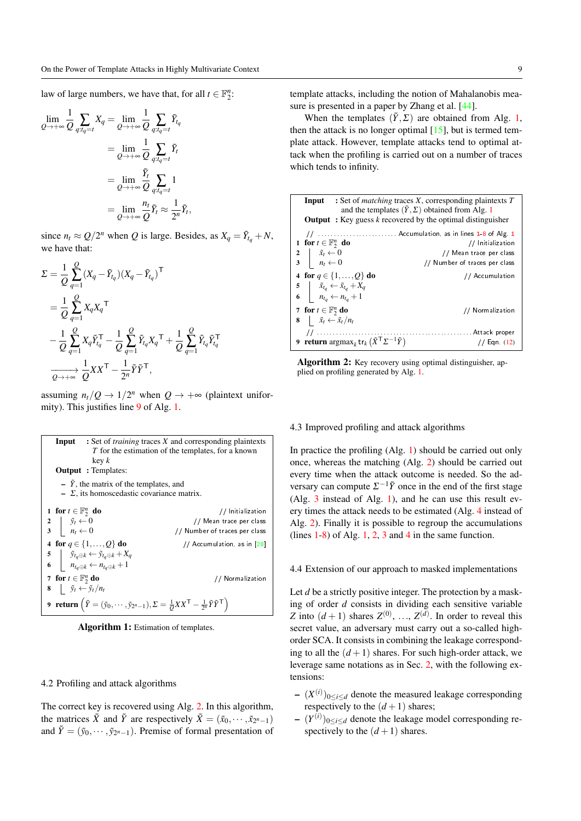law of large numbers, we have that, for all  $t \in \mathbb{F}_2^n$ :

$$
\lim_{Q \to +\infty} \frac{1}{Q} \sum_{q:t_q=t} X_q = \lim_{Q \to +\infty} \frac{1}{Q} \sum_{q:t_q=t} \tilde{Y}_{t_q}
$$
\n
$$
= \lim_{Q \to +\infty} \frac{1}{Q} \sum_{q:t_q=t} \tilde{Y}_t
$$
\n
$$
= \lim_{Q \to +\infty} \frac{\tilde{Y}_t}{Q} \sum_{q:t_q=t} 1
$$
\n
$$
= \lim_{Q \to +\infty} \frac{n_t}{Q} \tilde{Y}_t \approx \frac{1}{2^n} \tilde{Y}_t,
$$

since  $n_t \approx Q/2^n$  when *Q* is large. Besides, as  $X_q = \tilde{Y}_{t_q} + N$ , we have that:

$$
\Sigma = \frac{1}{Q} \sum_{q=1}^{Q} (X_q - \tilde{Y}_{t_q})(X_q - \tilde{Y}_{t_q})^{\mathsf{T}}
$$
  
\n
$$
= \frac{1}{Q} \sum_{q=1}^{Q} X_q X_q^{\mathsf{T}}
$$
  
\n
$$
- \frac{1}{Q} \sum_{q=1}^{Q} X_q \tilde{Y}_{t_q}^{\mathsf{T}} - \frac{1}{Q} \sum_{q=1}^{Q} \tilde{Y}_{t_q} X_q^{\mathsf{T}} + \frac{1}{Q} \sum_{q=1}^{Q} \tilde{Y}_{t_q} \tilde{Y}_{t_q}^{\mathsf{T}}
$$
  
\n
$$
\overrightarrow{Q \rightarrow +\infty} \frac{1}{Q} X X^{\mathsf{T}} - \frac{1}{2^n} \tilde{Y} \tilde{Y}^{\mathsf{T}},
$$

assuming  $n_t/Q \rightarrow 1/2^n$  when  $Q \rightarrow +\infty$  (plaintext uniformity). This justifies line 9 of Alg. 1.

| <b>Input</b> : Set of <i>training</i> traces X and corresponding plaintexts<br>T for the estimation of the templates, for a known<br>key k<br><b>Output</b> : Templates:                  |                               |  |  |  |  |  |
|-------------------------------------------------------------------------------------------------------------------------------------------------------------------------------------------|-------------------------------|--|--|--|--|--|
| $- \bar{Y}$ , the matrix of the templates, and<br>$\overline{\phantom{a}}$ $\overline{\phantom{a}}$ $\overline{\phantom{a}}$ $\overline{\phantom{a}}$ at homoscedastic covariance matrix. |                               |  |  |  |  |  |
| 1 for $t \in \mathbb{F}_2^n$ do                                                                                                                                                           | // Initialization             |  |  |  |  |  |
|                                                                                                                                                                                           | // Mean trace per class       |  |  |  |  |  |
| $\begin{array}{c c} 2 & \tilde{y}_t \leftarrow 0 \\ 3 & n_t \leftarrow 0 \end{array}$                                                                                                     | // Number of traces per class |  |  |  |  |  |
| 4 for $q \in \{1, , Q\}$ do                                                                                                                                                               | // Accumulation, as in [28]   |  |  |  |  |  |
|                                                                                                                                                                                           |                               |  |  |  |  |  |
| 5 $\tilde{y}_{tq \oplus k} \leftarrow \tilde{y}_{tq \oplus k} + X_q$<br>6 $n_{tq \oplus k} \leftarrow n_{tq \oplus k} + 1$                                                                |                               |  |  |  |  |  |
| 7 for $t \in \mathbb{F}_2^n$ do                                                                                                                                                           | // Normalization              |  |  |  |  |  |
| 8 $\tilde{y}_t \leftarrow \tilde{y}_t / n_t$                                                                                                                                              |                               |  |  |  |  |  |
| 9 return $(\tilde{Y} = (\tilde{y}_0, \dots, \tilde{y}_{2^n-1}), \Sigma = \frac{1}{Q}XX^{\mathsf{T}} - \frac{1}{2^n}\tilde{Y}\tilde{Y}^{\mathsf{T}})$                                      |                               |  |  |  |  |  |

Algorithm 1: Estimation of templates.

#### 4.2 Profiling and attack algorithms

The correct key is recovered using Alg. 2. In this algorithm, the matrices  $\tilde{X}$  and  $\tilde{Y}$  are respectively  $\tilde{X} = (\tilde{x}_0, \dots, \tilde{x}_{2^n-1})$ and  $\tilde{Y} = (\tilde{y}_0, \dots, \tilde{y}_{2^n-1})$ . Premise of formal presentation of

template attacks, including the notion of Mahalanobis measure is presented in a paper by Zhang et al. [44].

When the templates  $(\tilde{Y}, \Sigma)$  are obtained from Alg. 1, then the attack is no longer optimal  $[15]$ , but is termed template attack. However, template attacks tend to optimal attack when the profiling is carried out on a number of traces which tends to infinity.



Algorithm 2: Key recovery using optimal distinguisher, applied on profiling generated by Alg. 1.

#### 4.3 Improved profiling and attack algorithms

In practice the profiling (Alg. 1) should be carried out only once, whereas the matching (Alg. 2) should be carried out every time when the attack outcome is needed. So the adversary can compute  $\Sigma^{-1}\tilde{Y}$  once in the end of the first stage (Alg. 3 instead of Alg. 1), and he can use this result every times the attack needs to be estimated (Alg. 4 instead of Alg. 2). Finally it is possible to regroup the accumulations (lines  $1-8$ ) of Alg. 1, 2, 3 and 4 in the same function.

4.4 Extension of our approach to masked implementations

Let *d* be a strictly positive integer. The protection by a masking of order *d* consists in dividing each sensitive variable *Z* into  $(d+1)$  shares  $Z^{(0)}$ , ...,  $Z^{(d)}$ . In order to reveal this secret value, an adversary must carry out a so-called highorder SCA. It consists in combining the leakage corresponding to all the  $(d+1)$  shares. For such high-order attack, we leverage same notations as in Sec. 2, with the following extensions:

- $-(X^{(i)})_{0 \le i \le d}$  denote the measured leakage corresponding respectively to the  $(d+1)$  shares;
- $-(Y^{(i)})_{0 \le i \le d}$  denote the leakage model corresponding respectively to the  $(d+1)$  shares.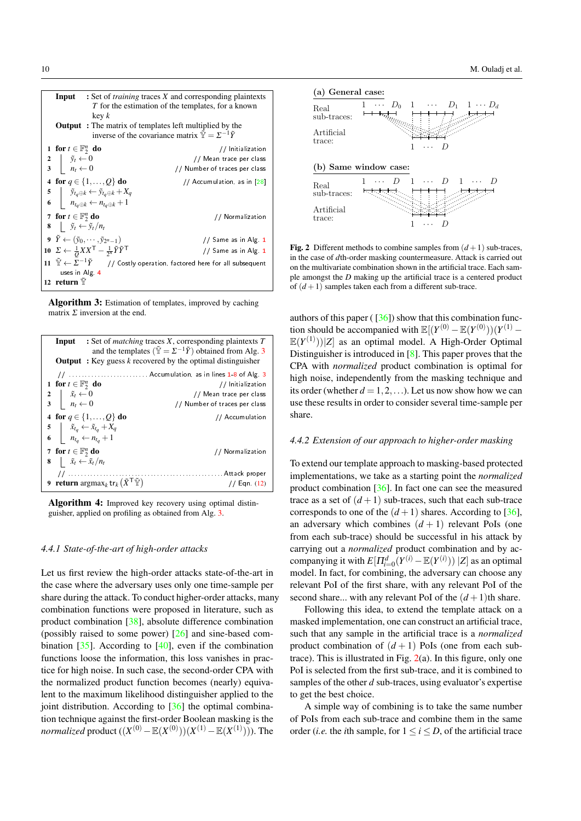| <b>Input</b> : Set of <i>training</i> traces X and corresponding plaintexts<br>$T$ for the estimation of the templates, for a known<br>key k<br><b>Output</b> : The matrix of templates left multiplied by the<br>inverse of the covariance matrix $\tilde{\mathbb{Y}} = \Sigma^{-1} \tilde{Y}$ |                                                                                                                |  |  |  |  |  |
|-------------------------------------------------------------------------------------------------------------------------------------------------------------------------------------------------------------------------------------------------------------------------------------------------|----------------------------------------------------------------------------------------------------------------|--|--|--|--|--|
| 1 for $t \in \mathbb{F}_2^n$ do                                                                                                                                                                                                                                                                 | // Initialization                                                                                              |  |  |  |  |  |
|                                                                                                                                                                                                                                                                                                 | // Mean trace per class                                                                                        |  |  |  |  |  |
| $\begin{array}{c c} 2 & \tilde{y}_t \leftarrow 0 \\ 3 & n_t \leftarrow 0 \end{array}$                                                                                                                                                                                                           | // Number of traces per class                                                                                  |  |  |  |  |  |
| 4 for $q \in \{1, , Q\}$ do                                                                                                                                                                                                                                                                     | // Accumulation, as in [28]                                                                                    |  |  |  |  |  |
| 5 $\tilde{y}_{tq \oplus k} \leftarrow \tilde{y}_{tq \oplus k} + X_q$<br>6 $n_{tq \oplus k} \leftarrow n_{tq \oplus k} + 1$                                                                                                                                                                      |                                                                                                                |  |  |  |  |  |
|                                                                                                                                                                                                                                                                                                 |                                                                                                                |  |  |  |  |  |
| 7 for $t \in \mathbb{F}_2^n$ do                                                                                                                                                                                                                                                                 | // Normalization                                                                                               |  |  |  |  |  |
| 8 $\tilde{y}_t \leftarrow \tilde{y}_t/n_t$                                                                                                                                                                                                                                                      |                                                                                                                |  |  |  |  |  |
| 9 $\tilde{Y} \leftarrow (\tilde{y}_0, \cdots, \tilde{y}_{2^n-1})$                                                                                                                                                                                                                               | // Same as in Alg 1                                                                                            |  |  |  |  |  |
| 10 $\Sigma \leftarrow \frac{1}{Q}XX^{\mathsf{T}} - \frac{1}{2^n} \tilde{Y} \tilde{Y}^{\mathsf{T}}$                                                                                                                                                                                              | // Same as in Alg. 1                                                                                           |  |  |  |  |  |
|                                                                                                                                                                                                                                                                                                 | 11 $\tilde{\mathbb{Y}} \leftarrow \Sigma^{-1} \tilde{Y}$ // Costly operation, factored here for all subsequent |  |  |  |  |  |
| uses in Alg 4                                                                                                                                                                                                                                                                                   |                                                                                                                |  |  |  |  |  |
| 12 return $\mathbb {Y}$                                                                                                                                                                                                                                                                         |                                                                                                                |  |  |  |  |  |

Algorithm 3: Estimation of templates, improved by caching matrix  $\Sigma$  inversion at the end.

| <b>Input</b> : Set of <i>matching</i> traces X, corresponding plaintexts $T$<br>and the templates $(\tilde{\mathbb{Y}} = \Sigma^{-1} \tilde{Y})$ obtained from Alg. 3<br><b>Output</b> : Key guess $k$ recovered by the optimal distinguisher |                                                                                                                                 |                               |  |  |  |  |  |
|-----------------------------------------------------------------------------------------------------------------------------------------------------------------------------------------------------------------------------------------------|---------------------------------------------------------------------------------------------------------------------------------|-------------------------------|--|--|--|--|--|
|                                                                                                                                                                                                                                               |                                                                                                                                 |                               |  |  |  |  |  |
| 1 for $t \in \mathbb{F}_2^n$ do                                                                                                                                                                                                               |                                                                                                                                 | // Initialization             |  |  |  |  |  |
|                                                                                                                                                                                                                                               |                                                                                                                                 | // Mean trace per class       |  |  |  |  |  |
| $\begin{array}{c c} 2 & \tilde{x}_t \leftarrow 0 \\ 3 & n_t \leftarrow 0 \end{array}$                                                                                                                                                         |                                                                                                                                 | // Number of traces per class |  |  |  |  |  |
|                                                                                                                                                                                                                                               | 4 for $q \in \{1, , Q\}$ do                                                                                                     | // Accumulation               |  |  |  |  |  |
|                                                                                                                                                                                                                                               | 5 $\begin{array}{c c}\n5 & \tilde{x}_{t_q} \leftarrow \tilde{x}_{t_q} + X_q \\ 6 & n_{t_q} \leftarrow n_{t_q} + 1\n\end{array}$ |                               |  |  |  |  |  |
|                                                                                                                                                                                                                                               |                                                                                                                                 |                               |  |  |  |  |  |
| 7 for $t \in \mathbb{F}_2^n$ do                                                                                                                                                                                                               |                                                                                                                                 | // Normalization              |  |  |  |  |  |
| 8   $\tilde{x}_t \leftarrow \tilde{x}_t/n_t$                                                                                                                                                                                                  |                                                                                                                                 |                               |  |  |  |  |  |
|                                                                                                                                                                                                                                               |                                                                                                                                 |                               |  |  |  |  |  |
|                                                                                                                                                                                                                                               | 9 return $\argmax_k \text{tr}_k(\tilde{X}^\top \tilde{Y})$                                                                      | $1/$ Eqn. $(12)$              |  |  |  |  |  |



# *4.4.1 State-of-the-art of high-order attacks*

Let us first review the high-order attacks state-of-the-art in the case where the adversary uses only one time-sample per share during the attack. To conduct higher-order attacks, many combination functions were proposed in literature, such as product combination [38], absolute difference combination (possibly raised to some power) [26] and sine-based combination [35]. According to [40], even if the combination functions loose the information, this loss vanishes in practice for high noise. In such case, the second-order CPA with the normalized product function becomes (nearly) equivalent to the maximum likelihood distinguisher applied to the joint distribution. According to  $\left[36\right]$  the optimal combination technique against the first-order Boolean masking is the *normalized* product  $((X^{(0)} - \mathbb{E}(X^{(0)}))(X^{(1)} - \mathbb{E}(X^{(1)})))$ . The



**Fig. 2** Different methods to combine samples from  $(d+1)$  sub-traces, in the case of *d*th-order masking countermeasure. Attack is carried out on the multivariate combination shown in the artificial trace. Each sample amongst the *D* making up the artificial trace is a centered product of  $(d+1)$  samples taken each from a different sub-trace.

authors of this paper ( $\left[36\right]$ ) show that this combination function should be accompanied with  $\mathbb{E}[(Y^{(0)} - \mathbb{E}(Y^{(0)}))(Y^{(1)} \mathbb{E}(Y^{(1)}))$ |*Z*] as an optimal model. A High-Order Optimal Distinguisher is introduced in [8]. This paper proves that the CPA with *normalized* product combination is optimal for high noise, independently from the masking technique and its order (whether  $d = 1, 2, \ldots$ ). Let us now show how we can use these results in order to consider several time-sample per share.

# *4.4.2 Extension of our approach to higher-order masking*

To extend our template approach to masking-based protected implementations, we take as a starting point the *normalized* product combination [36]. In fact one can see the measured trace as a set of  $(d+1)$  sub-traces, such that each sub-trace corresponds to one of the  $(d+1)$  shares. According to [36], an adversary which combines  $(d+1)$  relevant PoIs (one from each sub-trace) should be successful in his attack by carrying out a *normalized* product combination and by accompanying it with  $E[\Pi_{i=0}^d(Y^{(i)} - \mathbb{E}(Y^{(i)})) | Z]$  as an optimal model. In fact, for combining, the adversary can choose any relevant PoI of the first share, with any relevant PoI of the second share... with any relevant PoI of the  $(d+1)$ th share.

Following this idea, to extend the template attack on a masked implementation, one can construct an artificial trace, such that any sample in the artificial trace is a *normalized* product combination of  $(d+1)$  PoIs (one from each subtrace). This is illustrated in Fig.  $2(a)$ . In this figure, only one PoI is selected from the first sub-trace, and it is combined to samples of the other *d* sub-traces, using evaluator's expertise to get the best choice.

A simple way of combining is to take the same number of PoIs from each sub-trace and combine them in the same order (*i.e.* the *i*th sample, for  $1 \le i \le D$ , of the artificial trace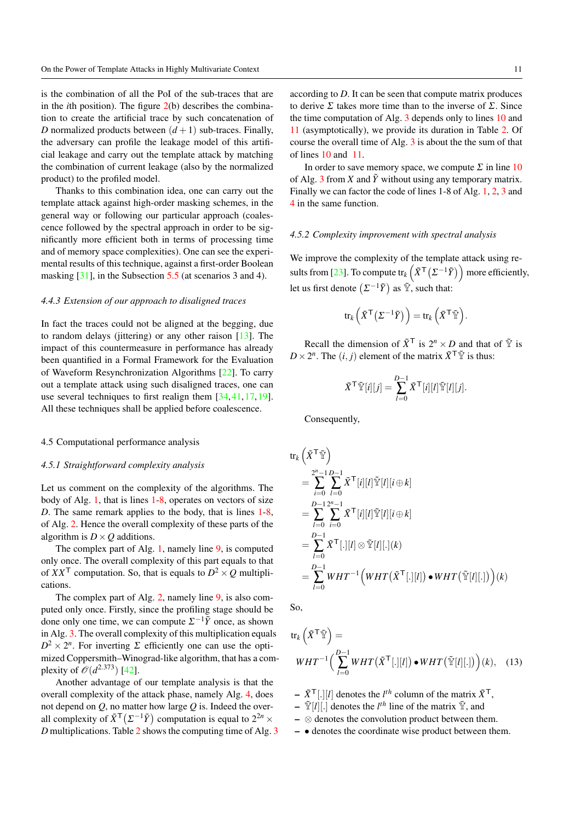is the combination of all the PoI of the sub-traces that are in the *i*th position). The figure 2(b) describes the combination to create the artificial trace by such concatenation of *D* normalized products between  $(d+1)$  sub-traces. Finally, the adversary can profile the leakage model of this artificial leakage and carry out the template attack by matching the combination of current leakage (also by the normalized product) to the profiled model.

Thanks to this combination idea, one can carry out the template attack against high-order masking schemes, in the general way or following our particular approach (coalescence followed by the spectral approach in order to be significantly more efficient both in terms of processing time and of memory space complexities). One can see the experimental results of this technique, against a first-order Boolean masking [31], in the Subsection 5.5 (at scenarios 3 and 4).

#### *4.4.3 Extension of our approach to disaligned traces*

In fact the traces could not be aligned at the begging, due to random delays (jittering) or any other raison [13]. The impact of this countermeasure in performance has already been quantified in a Formal Framework for the Evaluation of Waveform Resynchronization Algorithms [22]. To carry out a template attack using such disaligned traces, one can use several techniques to first realign them [34,41,17,19]. All these techniques shall be applied before coalescence.

#### 4.5 Computational performance analysis

## *4.5.1 Straightforward complexity analysis*

Let us comment on the complexity of the algorithms. The body of Alg. 1, that is lines 1-8, operates on vectors of size *D*. The same remark applies to the body, that is lines 1-8, of Alg. 2. Hence the overall complexity of these parts of the algorithm is  $D \times Q$  additions.

The complex part of Alg. 1, namely line 9, is computed only once. The overall complexity of this part equals to that of  $XX<sup>T</sup>$  computation. So, that is equals to  $D<sup>2</sup> \times Q$  multiplications.

The complex part of Alg. 2, namely line 9, is also computed only once. Firstly, since the profiling stage should be done only one time, we can compute  $\Sigma^{-1}\tilde{Y}$  once, as shown in Alg. 3. The overall complexity of this multiplication equals  $D^2 \times 2^n$ . For inverting  $\Sigma$  efficiently one can use the optimized Coppersmith–Winograd-like algorithm, that has a complexity of  $\mathcal{O}(d^{2.373})$  [42].

Another advantage of our template analysis is that the overall complexity of the attack phase, namely Alg. 4, does not depend on *Q*, no matter how large *Q* is. Indeed the overall complexity of  $\tilde{X}^{\mathsf{T}}(\Sigma^{-1}\tilde{Y})$  computation is equal to  $2^{2n} \times$ *D* multiplications. Table 2 shows the computing time of Alg. 3 according to *D*. It can be seen that compute matrix produces to derive  $\Sigma$  takes more time than to the inverse of  $\Sigma$ . Since the time computation of Alg. 3 depends only to lines 10 and 11 (asymptotically), we provide its duration in Table 2. Of course the overall time of Alg. 3 is about the the sum of that of lines 10 and 11.

In order to save memory space, we compute  $\Sigma$  in line 10 of Alg. 3 from *X* and  $\tilde{Y}$  without using any temporary matrix. Finally we can factor the code of lines 1-8 of Alg. 1, 2, 3 and 4 in the same function.

#### *4.5.2 Complexity improvement with spectral analysis*

We improve the complexity of the template attack using results from [23]. To compute  $tr_k(\tilde{X}^{\mathsf{T}}(\Sigma^{-1}\tilde{Y})$  more efficiently, let us first denote  $(\Sigma^{-1}\tilde{Y})$  as  $\tilde{Y}$ , such that:

$$
\text{tr}_{k}\left(\tilde{X}^{\mathsf{T}}\left(\Sigma^{-1}\tilde{Y}\right)\right) = \text{tr}_{k}\left(\tilde{X}^{\mathsf{T}}\tilde{\mathbb{Y}}\right).
$$

Recall the dimension of  $\tilde{X}^{\mathsf{T}}$  is  $2^n \times D$  and that of  $\tilde{Y}$  is  $D \times 2^n$ . The  $(i, j)$  element of the matrix  $\tilde{X}^{\mathsf{T}} \tilde{\mathbb{Y}}$  is thus:

$$
\tilde{X}^{\mathsf{T}}\tilde{\mathbb{Y}}[i][j] = \sum_{l=0}^{D-1} \tilde{X}^{\mathsf{T}}[i][l]\tilde{\mathbb{Y}}[l][j].
$$

Consequently,

$$
\mathrm{tr}_{k}\left(\tilde{X}^{\mathsf{T}}\tilde{\mathbb{Y}}\right)
$$
\n
$$
=\sum_{i=0}^{2^{n}-1}\sum_{l=0}^{D-1}\tilde{X}^{\mathsf{T}}[i][l]\tilde{\mathbb{Y}}[l][i\oplus k]
$$
\n
$$
=\sum_{l=0}^{D-1}\sum_{i=0}^{2^{n}-1}\tilde{X}^{\mathsf{T}}[i][l]\tilde{\mathbb{Y}}[l][i\oplus k]
$$
\n
$$
=\sum_{l=0}^{D-1}\tilde{X}^{\mathsf{T}}[.][l]\otimes\tilde{\mathbb{Y}}[l][.](k)
$$
\n
$$
=\sum_{l=0}^{D-1}WHT^{-1}\left(WHT\left(\tilde{X}^{\mathsf{T}}[.][l]\right)\bullet WHT\left(\tilde{\mathbb{Y}}[l][.]\right)\right)(k)
$$

So,

tr<sub>k</sub> 
$$
(\tilde{X}^{\mathsf{T}} \tilde{Y}) =
$$
  
\n $WHT^{-1} \Big( \sum_{l=0}^{D-1} WHT (\tilde{X}^{\mathsf{T}}[.][l]) \bullet WHT (\tilde{Y}[l][.]) \Big)(k),$  (13)

 $- \tilde{X}^{\mathsf{T}}[.] [l]$  denotes the *l*<sup>th</sup> column of the matrix  $\tilde{X}^{\mathsf{T}}$ ,

- $\tilde{\mathbb{Y}}[l][.]$  denotes the *l<sup>th</sup>* line of the matrix  $\tilde{\mathbb{Y}}$ , and
- ⊗ denotes the convolution product between them.
- • denotes the coordinate wise product between them.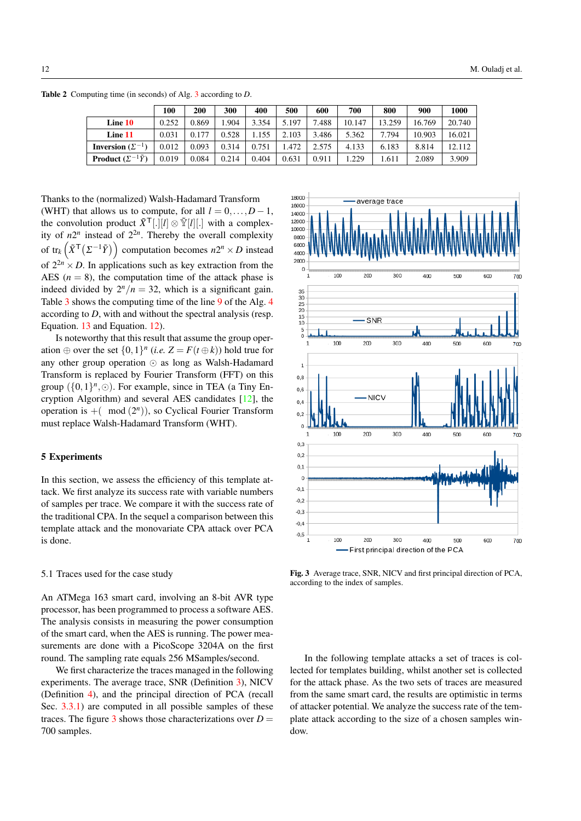100 | 200 | 300 | 400 | 500 | 600 | 700 | 800 | 900 | 1000 **Line 10**  $\begin{array}{|c|c|c|c|c|c|c|c|} \hline \textbf{Line 10} & 0.252 & 0.869 & 1.904 & 3.354 & 5.197 & 7.488 & 10.147 & 13.259 & 16.769 & 20.740 \hline \end{array}$ Line 11 0.031 0.177 0.528 1.155 2.103 3.486 5.362 7.794 10.903 16.021 **Inversion** ( $\Sigma^{-1}$ ) 0.012 0.093 0.314 0.751 1.472 2.575 4.133 6.183 8.814 12.112

<sup>−</sup>1*Y*˜) 0.019 0.084 0.214 0.404 0.631 0.911 1.229 1.611 2.089 3.909

Table 2 Computing time (in seconds) of Alg. 3 according to *D*.

**Product**  $(\Sigma^{-1}\tilde{Y})$ 

Thanks to the (normalized) Walsh-Hadamard Transform (WHT) that allows us to compute, for all  $l = 0, \ldots, D - 1$ , the convolution product  $\tilde{X}^{\mathsf{T}}[.][l] \otimes \tilde{Y}[l][.]$  with a complexity of  $n2^n$  instead of  $2^{2n}$ . Thereby the overall complexity of  $tr_k(\tilde{X}^{\mathsf{T}}(\Sigma^{-1}\tilde{Y}))$  computation becomes  $n2^n \times D$  instead of  $2^{2n} \times D$ . In applications such as key extraction from the AES  $(n = 8)$ , the computation time of the attack phase is indeed divided by  $2^n/n = 32$ , which is a significant gain. Table 3 shows the computing time of the line 9 of the Alg. 4 according to *D*, with and without the spectral analysis (resp. Equation. 13 and Equation. 12).

Is noteworthy that this result that assume the group operation  $\oplus$  over the set  $\{0,1\}^n$  (*i.e.*  $Z = F(t \oplus k)$ ) hold true for any other group operation  $\odot$  as long as Walsh-Hadamard Transform is replaced by Fourier Transform (FFT) on this group  $({0,1}^n, \odot)$ . For example, since in TEA (a Tiny Encryption Algorithm) and several AES candidates [12], the operation is  $+$ ( mod  $(2<sup>n</sup>)$ ), so Cyclical Fourier Transform must replace Walsh-Hadamard Transform (WHT).

# 5 Experiments

In this section, we assess the efficiency of this template attack. We first analyze its success rate with variable numbers of samples per trace. We compare it with the success rate of the traditional CPA. In the sequel a comparison between this template attack and the monovariate CPA attack over PCA is done.

# 5.1 Traces used for the case study

An ATMega 163 smart card, involving an 8-bit AVR type processor, has been programmed to process a software AES. The analysis consists in measuring the power consumption of the smart card, when the AES is running. The power measurements are done with a PicoScope 3204A on the first round. The sampling rate equals 256 MSamples/second.

We first characterize the traces managed in the following experiments. The average trace, SNR (Definition 3), NICV (Definition 4), and the principal direction of PCA (recall Sec. 3.3.1) are computed in all possible samples of these traces. The figure 3 shows those characterizations over  $D =$ 700 samples.



Fig. 3 Average trace, SNR, NICV and first principal direction of PCA, according to the index of samples.

In the following template attacks a set of traces is collected for templates building, whilst another set is collected for the attack phase. As the two sets of traces are measured from the same smart card, the results are optimistic in terms of attacker potential. We analyze the success rate of the template attack according to the size of a chosen samples window.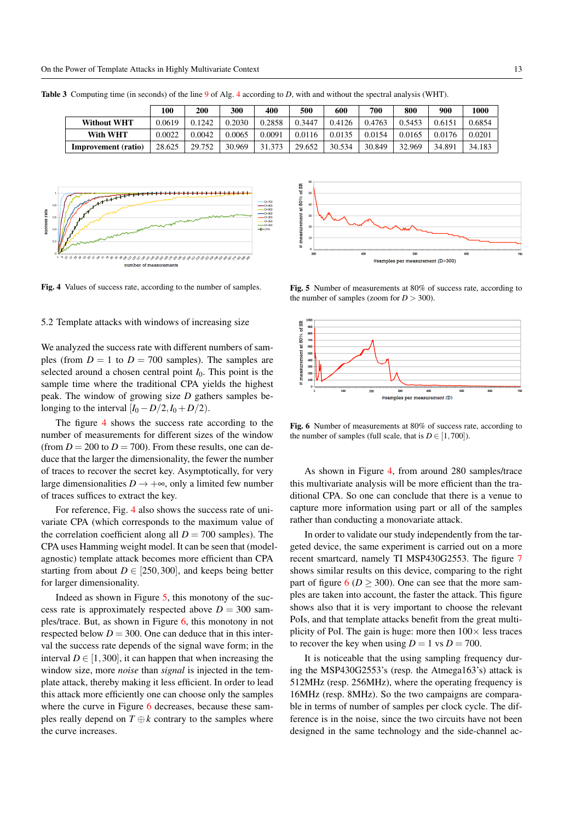|                     | 100    | <b>200</b> | 300    | 400    | 500    | 600    | 700    | 800    | 900    | 1000   |
|---------------------|--------|------------|--------|--------|--------|--------|--------|--------|--------|--------|
| <b>Without WHT</b>  | 0.0619 | 0.1242     | 0.2030 | 0.2858 | 0.3447 | 0.4126 | 0.4763 | 0.5453 | 0.6151 | 0.6854 |
| With WHT            | 0.0022 | 0.0042     | 0.0065 | 0.0091 | 0.0116 | 0.0135 | 0.0154 | 0.0165 | 0.0176 | 0.0201 |
| Improvement (ratio) | 28.625 | 29.752     | 30.969 | 31.373 | 29.652 | 30.534 | 30.849 | 32.969 | 34.891 | 34.183 |

Table 3 Computing time (in seconds) of the line 9 of Alg. 4 according to *D*, with and without the spectral analysis (WHT).



Fig. 4 Values of success rate, according to the number of samples.

#### 5.2 Template attacks with windows of increasing size

We analyzed the success rate with different numbers of samples (from  $D = 1$  to  $D = 700$  samples). The samples are selected around a chosen central point *I*0. This point is the sample time where the traditional CPA yields the highest peak. The window of growing size *D* gathers samples belonging to the interval  $[I_0 - D/2, I_0 + D/2]$ .

The figure 4 shows the success rate according to the number of measurements for different sizes of the window (from  $D = 200$  to  $D = 700$ ). From these results, one can deduce that the larger the dimensionality, the fewer the number of traces to recover the secret key. Asymptotically, for very large dimensionalities  $D \rightarrow +\infty$ , only a limited few number of traces suffices to extract the key.

For reference, Fig. 4 also shows the success rate of univariate CPA (which corresponds to the maximum value of the correlation coefficient along all  $D = 700$  samples). The CPA uses Hamming weight model. It can be seen that (modelagnostic) template attack becomes more efficient than CPA starting from about  $D \in [250, 300]$ , and keeps being better for larger dimensionality.

Indeed as shown in Figure 5, this monotony of the success rate is approximately respected above  $D = 300$  samples/trace. But, as shown in Figure 6, this monotony in not respected below  $D = 300$ . One can deduce that in this interval the success rate depends of the signal wave form; in the interval  $D \in [1,300]$ , it can happen that when increasing the window size, more *noise* than *signal* is injected in the template attack, thereby making it less efficient. In order to lead this attack more efficiently one can choose only the samples where the curve in Figure 6 decreases, because these samples really depend on  $T \oplus k$  contrary to the samples where the curve increases.



Fig. 5 Number of measurements at 80% of success rate, according to the number of samples (zoom for  $D > 300$ ).



Fig. 6 Number of measurements at 80% of success rate, according to the number of samples (full scale, that is  $D \in [1,700]$ ).

As shown in Figure 4, from around 280 samples/trace this multivariate analysis will be more efficient than the traditional CPA. So one can conclude that there is a venue to capture more information using part or all of the samples rather than conducting a monovariate attack.

In order to validate our study independently from the targeted device, the same experiment is carried out on a more recent smartcard, namely TI MSP430G2553. The figure 7 shows similar results on this device, comparing to the right part of figure  $6 (D > 300)$ . One can see that the more samples are taken into account, the faster the attack. This figure shows also that it is very important to choose the relevant PoIs, and that template attacks benefit from the great multiplicity of PoI. The gain is huge: more then  $100 \times$  less traces to recover the key when using  $D = 1$  vs  $D = 700$ .

It is noticeable that the using sampling frequency during the MSP430G2553's (resp. the Atmega163's) attack is 512MHz (resp. 256MHz), where the operating frequency is 16MHz (resp. 8MHz). So the two campaigns are comparable in terms of number of samples per clock cycle. The difference is in the noise, since the two circuits have not been designed in the same technology and the side-channel ac-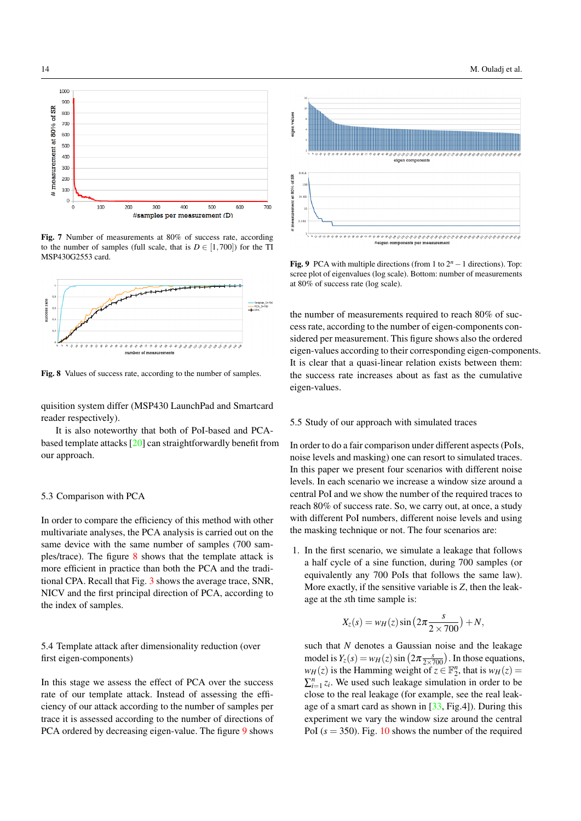

Fig. 7 Number of measurements at 80% of success rate, according to the number of samples (full scale, that is  $D \in [1,700]$ ) for the TI MSP430G2553 card.



Fig. 8 Values of success rate, according to the number of samples.

quisition system differ (MSP430 LaunchPad and Smartcard reader respectively).

It is also noteworthy that both of PoI-based and PCAbased template attacks [20] can straightforwardly benefit from our approach.

# 5.3 Comparison with PCA

In order to compare the efficiency of this method with other multivariate analyses, the PCA analysis is carried out on the same device with the same number of samples (700 samples/trace). The figure 8 shows that the template attack is more efficient in practice than both the PCA and the traditional CPA. Recall that Fig. 3 shows the average trace, SNR, NICV and the first principal direction of PCA, according to the index of samples.

5.4 Template attack after dimensionality reduction (over first eigen-components)

In this stage we assess the effect of PCA over the success rate of our template attack. Instead of assessing the efficiency of our attack according to the number of samples per trace it is assessed according to the number of directions of PCA ordered by decreasing eigen-value. The figure 9 shows



Fig. 9 PCA with multiple directions (from 1 to 2*<sup>n</sup>* <sup>−</sup>1 directions). Top: scree plot of eigenvalues (log scale). Bottom: number of measurements at 80% of success rate (log scale).

the number of measurements required to reach 80% of success rate, according to the number of eigen-components considered per measurement. This figure shows also the ordered eigen-values according to their corresponding eigen-components. It is clear that a quasi-linear relation exists between them: the success rate increases about as fast as the cumulative eigen-values.

# 5.5 Study of our approach with simulated traces

In order to do a fair comparison under different aspects (PoIs, noise levels and masking) one can resort to simulated traces. In this paper we present four scenarios with different noise levels. In each scenario we increase a window size around a central PoI and we show the number of the required traces to reach 80% of success rate. So, we carry out, at once, a study with different PoI numbers, different noise levels and using the masking technique or not. The four scenarios are:

1. In the first scenario, we simulate a leakage that follows a half cycle of a sine function, during 700 samples (or equivalently any 700 PoIs that follows the same law). More exactly, if the sensitive variable is *Z*, then the leakage at the *s*th time sample is:

$$
X_z(s) = w_H(z) \sin\left(2\pi \frac{s}{2 \times 700}\right) + N,
$$

such that *N* denotes a Gaussian noise and the leakage model is  $Y_z(s) = w_H(z) \sin\left(2\pi \frac{s}{2\times 700}\right)$ . In those equations,  $w_H(z)$  is the Hamming weight of  $z \in \mathbb{F}_2^n$ , that is  $w_H(z) =$  $\sum_{i=1}^{n} z_i$ . We used such leakage simulation in order to be close to the real leakage (for example, see the real leakage of a smart card as shown in [33, Fig.4]). During this experiment we vary the window size around the central PoI ( $s = 350$ ). Fig. 10 shows the number of the required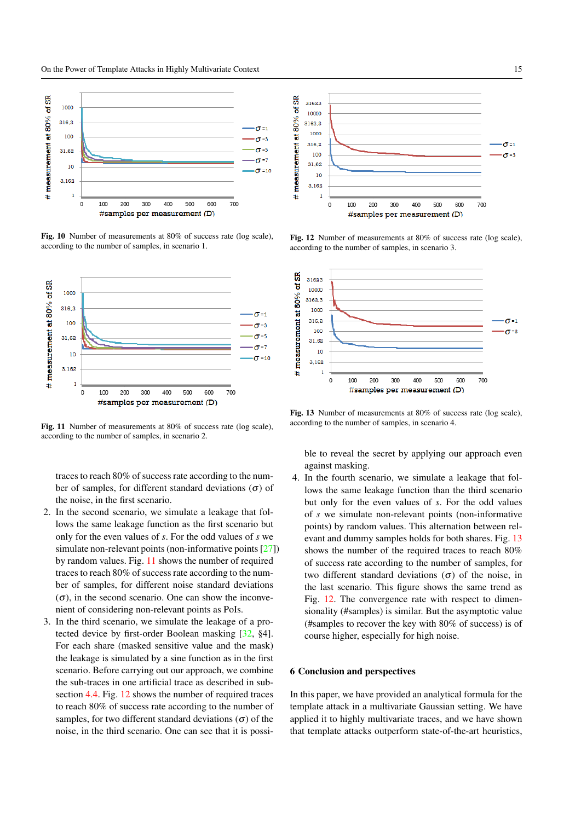

Fig. 10 Number of measurements at 80% of success rate (log scale), according to the number of samples, in scenario 1.



Fig. 11 Number of measurements at 80% of success rate (log scale), according to the number of samples, in scenario 2.

traces to reach 80% of success rate according to the number of samples, for different standard deviations  $(\sigma)$  of the noise, in the first scenario.

- 2. In the second scenario, we simulate a leakage that follows the same leakage function as the first scenario but only for the even values of *s*. For the odd values of *s* we simulate non-relevant points (non-informative points [27]) by random values. Fig. 11 shows the number of required traces to reach 80% of success rate according to the number of samples, for different noise standard deviations  $(\sigma)$ , in the second scenario. One can show the inconvenient of considering non-relevant points as PoIs.
- 3. In the third scenario, we simulate the leakage of a protected device by first-order Boolean masking [32, §4]. For each share (masked sensitive value and the mask) the leakage is simulated by a sine function as in the first scenario. Before carrying out our approach, we combine the sub-traces in one artificial trace as described in subsection 4.4. Fig. 12 shows the number of required traces to reach 80% of success rate according to the number of samples, for two different standard deviations  $(\sigma)$  of the noise, in the third scenario. One can see that it is possi-



Fig. 12 Number of measurements at 80% of success rate (log scale), according to the number of samples, in scenario 3.



Fig. 13 Number of measurements at 80% of success rate (log scale), according to the number of samples, in scenario 4.

ble to reveal the secret by applying our approach even against masking.

4. In the fourth scenario, we simulate a leakage that follows the same leakage function than the third scenario but only for the even values of *s*. For the odd values of *s* we simulate non-relevant points (non-informative points) by random values. This alternation between relevant and dummy samples holds for both shares. Fig. 13 shows the number of the required traces to reach 80% of success rate according to the number of samples, for two different standard deviations (σ) of the noise, in the last scenario. This figure shows the same trend as Fig. 12. The convergence rate with respect to dimensionality (#samples) is similar. But the asymptotic value (#samples to recover the key with 80% of success) is of course higher, especially for high noise.

#### 6 Conclusion and perspectives

In this paper, we have provided an analytical formula for the template attack in a multivariate Gaussian setting. We have applied it to highly multivariate traces, and we have shown that template attacks outperform state-of-the-art heuristics,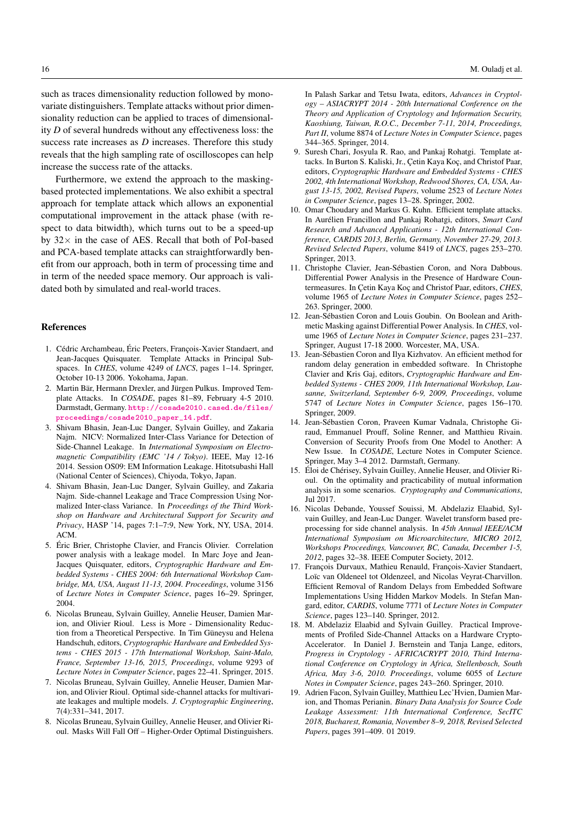such as traces dimensionality reduction followed by monovariate distinguishers. Template attacks without prior dimensionality reduction can be applied to traces of dimensionality *D* of several hundreds without any effectiveness loss: the success rate increases as *D* increases. Therefore this study reveals that the high sampling rate of oscilloscopes can help increase the success rate of the attacks.

Furthermore, we extend the approach to the maskingbased protected implementations. We also exhibit a spectral approach for template attack which allows an exponential computational improvement in the attack phase (with respect to data bitwidth), which turns out to be a speed-up by  $32 \times$  in the case of AES. Recall that both of PoI-based and PCA-based template attacks can straightforwardly benefit from our approach, both in term of processing time and in term of the needed space memory. Our approach is validated both by simulated and real-world traces.

#### References

- 1. Cédric Archambeau, Éric Peeters, François-Xavier Standaert, and Jean-Jacques Quisquater. Template Attacks in Principal Subspaces. In *CHES*, volume 4249 of *LNCS*, pages 1–14. Springer, October 10-13 2006. Yokohama, Japan.
- 2. Martin Bär, Hermann Drexler, and Jürgen Pulkus. Improved Template Attacks. In *COSADE*, pages 81–89, February 4-5 2010. Darmstadt, Germany. [http://cosade2010.cased.de/files/](http://cosade2010.cased.de/files/proceedings/cosade2010_paper_14.pdf) [proceedings/cosade2010\\_paper\\_14.pdf](http://cosade2010.cased.de/files/proceedings/cosade2010_paper_14.pdf).
- 3. Shivam Bhasin, Jean-Luc Danger, Sylvain Guilley, and Zakaria Najm. NICV: Normalized Inter-Class Variance for Detection of Side-Channel Leakage. In *International Symposium on Electromagnetic Compatibility (EMC '14 / Tokyo)*. IEEE, May 12-16 2014. Session OS09: EM Information Leakage. Hitotsubashi Hall (National Center of Sciences), Chiyoda, Tokyo, Japan.
- 4. Shivam Bhasin, Jean-Luc Danger, Sylvain Guilley, and Zakaria Najm. Side-channel Leakage and Trace Compression Using Normalized Inter-class Variance. In *Proceedings of the Third Workshop on Hardware and Architectural Support for Security and Privacy*, HASP '14, pages 7:1–7:9, New York, NY, USA, 2014.  $ACM$
- 5. Éric Brier, Christophe Clavier, and Francis Olivier. Correlation power analysis with a leakage model. In Marc Joye and Jean-Jacques Quisquater, editors, *Cryptographic Hardware and Embedded Systems - CHES 2004: 6th International Workshop Cambridge, MA, USA, August 11-13, 2004. Proceedings*, volume 3156 of *Lecture Notes in Computer Science*, pages 16–29. Springer, 2004.
- 6. Nicolas Bruneau, Sylvain Guilley, Annelie Heuser, Damien Marion, and Olivier Rioul. Less is More - Dimensionality Reduction from a Theoretical Perspective. In Tim Güneysu and Helena Handschuh, editors, *Cryptographic Hardware and Embedded Systems - CHES 2015 - 17th International Workshop, Saint-Malo, France, September 13-16, 2015, Proceedings*, volume 9293 of *Lecture Notes in Computer Science*, pages 22–41. Springer, 2015.
- 7. Nicolas Bruneau, Sylvain Guilley, Annelie Heuser, Damien Marion, and Olivier Rioul. Optimal side-channel attacks for multivariate leakages and multiple models. *J. Cryptographic Engineering*, 7(4):331–341, 2017.
- 8. Nicolas Bruneau, Sylvain Guilley, Annelie Heuser, and Olivier Rioul. Masks Will Fall Off – Higher-Order Optimal Distinguishers.

In Palash Sarkar and Tetsu Iwata, editors, *Advances in Cryptology – ASIACRYPT 2014 - 20th International Conference on the Theory and Application of Cryptology and Information Security, Kaoshiung, Taiwan, R.O.C., December 7-11, 2014, Proceedings, Part II*, volume 8874 of *Lecture Notes in Computer Science*, pages 344–365. Springer, 2014.

- 9. Suresh Chari, Josyula R. Rao, and Pankaj Rohatgi. Template attacks. In Burton S. Kaliski, Jr., Çetin Kaya Koç, and Christof Paar, editors, *Cryptographic Hardware and Embedded Systems - CHES 2002, 4th International Workshop, Redwood Shores, CA, USA, August 13-15, 2002, Revised Papers*, volume 2523 of *Lecture Notes in Computer Science*, pages 13–28. Springer, 2002.
- 10. Omar Choudary and Markus G. Kuhn. Efficient template attacks. In Aurélien Francillon and Pankaj Rohatgi, editors, *Smart Card Research and Advanced Applications - 12th International Conference, CARDIS 2013, Berlin, Germany, November 27-29, 2013. Revised Selected Papers*, volume 8419 of *LNCS*, pages 253–270. Springer, 2013.
- 11. Christophe Clavier, Jean-Sébastien Coron, and Nora Dabbous. Differential Power Analysis in the Presence of Hardware Countermeasures. In Çetin Kaya Koç and Christof Paar, editors, *CHES*, volume 1965 of *Lecture Notes in Computer Science*, pages 252– 263. Springer, 2000.
- 12. Jean-Sébastien Coron and Louis Goubin. On Boolean and Arithmetic Masking against Differential Power Analysis. In *CHES*, volume 1965 of *Lecture Notes in Computer Science*, pages 231–237. Springer, August 17-18 2000. Worcester, MA, USA.
- 13. Jean-Sébastien Coron and Ilya Kizhvatov. An efficient method for random delay generation in embedded software. In Christophe Clavier and Kris Gaj, editors, *Cryptographic Hardware and Embedded Systems - CHES 2009, 11th International Workshop, Lausanne, Switzerland, September 6-9, 2009, Proceedings*, volume 5747 of *Lecture Notes in Computer Science*, pages 156–170. Springer, 2009.
- 14. Jean-Sébastien Coron, Praveen Kumar Vadnala, Christophe Giraud, Emmanuel Prouff, Soline Renner, and Matthieu Rivain. Conversion of Security Proofs from One Model to Another: A New Issue. In *COSADE*, Lecture Notes in Computer Science. Springer, May 3–4 2012. Darmstaft, Germany.
- 15. Éloi de Chérisey, Sylvain Guilley, Annelie Heuser, and Olivier Rioul. On the optimality and practicability of mutual information analysis in some scenarios. *Cryptography and Communications*, Jul 2017.
- 16. Nicolas Debande, Youssef Souissi, M. Abdelaziz Elaabid, Sylvain Guilley, and Jean-Luc Danger. Wavelet transform based preprocessing for side channel analysis. In *45th Annual IEEE/ACM International Symposium on Microarchitecture, MICRO 2012, Workshops Proceedings, Vancouver, BC, Canada, December 1-5, 2012*, pages 32–38. IEEE Computer Society, 2012.
- 17. François Durvaux, Mathieu Renauld, François-Xavier Standaert, Loïc van Oldeneel tot Oldenzeel, and Nicolas Veyrat-Charvillon. Efficient Removal of Random Delays from Embedded Software Implementations Using Hidden Markov Models. In Stefan Mangard, editor, *CARDIS*, volume 7771 of *Lecture Notes in Computer Science*, pages 123–140. Springer, 2012.
- 18. M. Abdelaziz Elaabid and Sylvain Guilley. Practical Improvements of Profiled Side-Channel Attacks on a Hardware Crypto-Accelerator. In Daniel J. Bernstein and Tanja Lange, editors, *Progress in Cryptology - AFRICACRYPT 2010, Third International Conference on Cryptology in Africa, Stellenbosch, South Africa, May 3-6, 2010. Proceedings*, volume 6055 of *Lecture Notes in Computer Science*, pages 243–260. Springer, 2010.
- 19. Adrien Facon, Sylvain Guilley, Matthieu Lec'Hvien, Damien Marion, and Thomas Perianin. *Binary Data Analysis for Source Code Leakage Assessment: 11th International Conference, SecITC 2018, Bucharest, Romania, November 8–9, 2018, Revised Selected Papers*, pages 391–409. 01 2019.